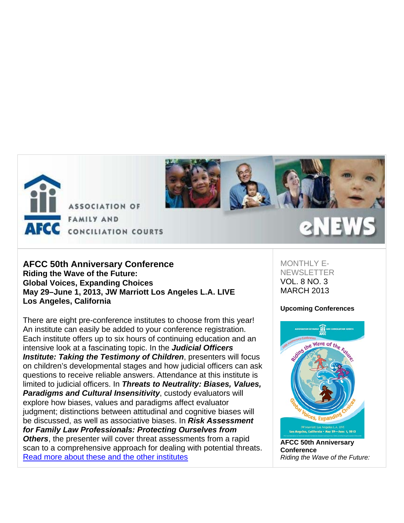



# **AFCC 50th Anniversary Conference Riding the Wave of the Future: Global Voices, Expanding Choices May 29–June 1, 2013, JW Marriott Los Angeles L.A. LIVE Los Angeles, California**

There are eight pre-conference institutes to choose from this year! An institute can easily be added to your conference registration. Each institute offers up to six hours of continuing education and an intensive look at a fascinating topic. In the *Judicial Officers Institute: Taking the Testimony of Children*, presenters will focus on children's developmental stages and how judicial officers can ask questions to receive reliable answers. Attendance at this institute is limited to judicial officers. In *Threats to Neutrality: Biases, Values, Paradigms and Cultural Insensitivity*, custody evaluators will explore how biases, values and paradigms affect evaluator judgment; distinctions between attitudinal and cognitive biases will be discussed, as well as associative biases. In *Risk Assessment for Family Law Professionals: Protecting Ourselves from Others*, the presenter will cover threat assessments from a rapid scan to a comprehensive approach for dealing with potential threats. Read more about these and the other institutes

MONTHI Y F-**NEWSLETTER** VOL. 8 NO. 3 MARCH 2013

#### **Upcoming Conferences**



**AFCC 50th Anniversary Conference** *Riding the Wave of the Future:*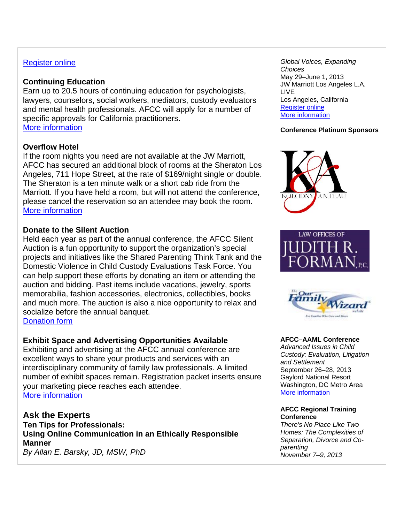# Register online

# **Continuing Education**

Earn up to 20.5 hours of continuing education for psychologists, lawyers, counselors, social workers, mediators, custody evaluators and mental health professionals. AFCC will apply for a number of specific approvals for California practitioners. More information

# **Overflow Hotel**

If the room nights you need are not available at the JW Marriott, AFCC has secured an additional block of rooms at the Sheraton Los Angeles, 711 Hope Street, at the rate of \$169/night single or double. The Sheraton is a ten minute walk or a short cab ride from the Marriott. If you have held a room, but will not attend the conference, please cancel the reservation so an attendee may book the room. More information

# **Donate to the Silent Auction**

Held each year as part of the annual conference, the AFCC Silent Auction is a fun opportunity to support the organization's special projects and initiatives like the Shared Parenting Think Tank and the Domestic Violence in Child Custody Evaluations Task Force. You can help support these efforts by donating an item or attending the auction and bidding. Past items include vacations, jewelry, sports memorabilia, fashion accessories, electronics, collectibles, books and much more. The auction is also a nice opportunity to relax and socialize before the annual banquet.

Donation form

# **Exhibit Space and Advertising Opportunities Available**

Exhibiting and advertising at the AFCC annual conference are excellent ways to share your products and services with an interdisciplinary community of family law professionals. A limited number of exhibit spaces remain. Registration packet inserts ensure your marketing piece reaches each attendee. More information

**Ask the Experts Ten Tips for Professionals: Using Online Communication in an Ethically Responsible Manner** *By Allan E. Barsky, JD, MSW, PhD*

*Global Voices, Expanding Choices* May 29–June 1, 2013 JW Marriott Los Angeles L.A. LIVE Los Angeles, California Register online More information

#### **Conference Platinum Sponsors**







# **AFCC–AAML Conference**

*Advanced Issues in Child Custody: Evaluation, Litigation and Settlement* September 26–28, 2013 Gaylord National Resort Washington, DC Metro Area More information

#### **AFCC Regional Training Conference**

*There's No Place Like Two Homes: The Complexities of Separation, Divorce and Coparenting November 7–9, 2013*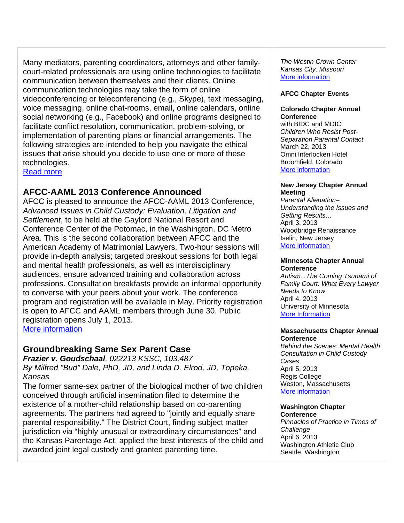Many mediators, parenting coordinators, attorneys and other familycourt-related professionals are using online technologies to facilitate communication between themselves and their clients. Online communication technologies may take the form of online videoconferencing or teleconferencing (e.g., Skype), text messaging, voice messaging, online chat-rooms, email, online calendars, online social networking (e.g., Facebook) and online programs designed to facilitate conflict resolution, communication, problem-solving, or implementation of parenting plans or financial arrangements. The following strategies are intended to help you navigate the ethical issues that arise should you decide to use one or more of these technologies.

Read more

# **AFCC-AAML 2013 Conference Announced**

AFCC is pleased to announce the AFCC-AAML 2013 Conference, *Advanced Issues in Child Custody: Evaluation, Litigation and Settlement*, to be held at the Gaylord National Resort and Conference Center of the Potomac, in the Washington, DC Metro Area. This is the second collaboration between AFCC and the American Academy of Matrimonial Lawyers. Two-hour sessions will provide in-depth analysis; targeted breakout sessions for both legal and mental health professionals, as well as interdisciplinary audiences, ensure advanced training and collaboration across professions. Consultation breakfasts provide an informal opportunity to converse with your peers about your work. The conference program and registration will be available in May. Priority registration is open to AFCC and AAML members through June 30. Public registration opens July 1, 2013. More information

# **Groundbreaking Same Sex Parent Case**

*Frazier v. Goudschaal, 022213 KSSC, 103,487 By Milfred "Bud" Dale, PhD, JD, and Linda D. Elrod, JD, Topeka, Kansas*

The former same-sex partner of the biological mother of two children conceived through artificial insemination filed to determine the existence of a mother-child relationship based on co-parenting agreements. The partners had agreed to "jointly and equally share parental responsibility." The District Court, finding subject matter jurisdiction via "highly unusual or extraordinary circumstances" and the Kansas Parentage Act, applied the best interests of the child and awarded joint legal custody and granted parenting time.

*The Westin Crown Center Kansas City, Missouri* More information

## **AFCC Chapter Events**

#### **Colorado Chapter Annual Conference**

with BIDC and MDIC *Children Who Resist Post-Separation Parental Contact* March 22, 2013 Omni Interlocken Hotel Broomfield, Colorado More information

#### **New Jersey Chapter Annual Meeting**

*Parental Alienation– Understanding the Issues and Getting Results…* April 3, 2013 Woodbridge Renaissance Iselin, New Jersey More information

#### **Minnesota Chapter Annual Conference**

*Autism...The Coming Tsunami of Family Court: What Every Lawyer Needs to Know* April 4, 2013 University of Minnesota More Information

#### **Massachusetts Chapter Annual Conference**

*Behind the Scenes: Mental Health Consultation in Child Custody Cases* April 5, 2013 Regis College Weston, Massachusetts More information

# **Washington Chapter**

**Conference** *Pinnacles of Practice in Times of Challenge* April 6, 2013 Washington Athletic Club Seattle, Washington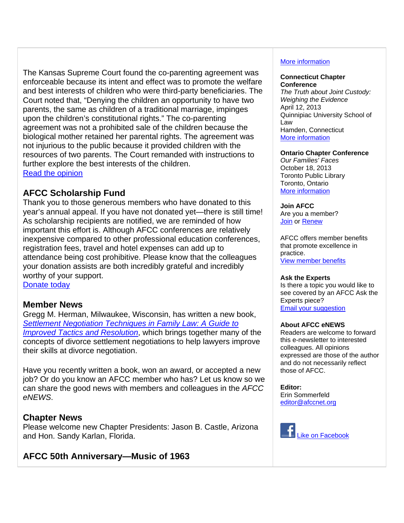The Kansas Supreme Court found the co-parenting agreement was enforceable because its intent and effect was to promote the welfare and best interests of children who were third-party beneficiaries. The Court noted that, "Denying the children an opportunity to have two parents, the same as children of a traditional marriage, impinges upon the children's constitutional rights." The co-parenting agreement was not a prohibited sale of the children because the biological mother retained her parental rights. The agreement was not injurious to the public because it provided children with the resources of two parents. The Court remanded with instructions to further explore the best interests of the children. Read the opinion

# **AFCC Scholarship Fund**

Thank you to those generous members who have donated to this year's annual appeal. If you have not donated yet—there is still time! As scholarship recipients are notified, we are reminded of how important this effort is. Although AFCC conferences are relatively inexpensive compared to other professional education conferences, registration fees, travel and hotel expenses can add up to attendance being cost prohibitive. Please know that the colleagues your donation assists are both incredibly grateful and incredibly worthy of your support. Donate today

# **Member News**

Gregg M. Herman, Milwaukee, Wisconsin, has written a new book, *Settlement Negotiation Techniques in Family Law: A Guide to Improved Tactics and Resolution*, which brings together many of the concepts of divorce settlement negotiations to help lawyers improve their skills at divorce negotiation.

Have you recently written a book, won an award, or accepted a new job? Or do you know an AFCC member who has? Let us know so we can share the good news with members and colleagues in the *AFCC eNEWS*.

# **Chapter News**

Please welcome new Chapter Presidents: Jason B. Castle, Arizona and Hon. Sandy Karlan, Florida.

# **AFCC 50th Anniversary—Music of 1963**

# More information

#### **Connecticut Chapter Conference**

*The Truth about Joint Custody: Weighing the Evidence* April 12, 2013 Quinnipiac University School of Law Hamden, Connecticut More information

#### **Ontario Chapter Conference**

*Our Families' Faces* October 18, 2013 Toronto Public Library Toronto, Ontario More information

#### **Join AFCC**

Are you a member? Join or Renew

AFCC offers member benefits that promote excellence in practice. View member benefits

#### **Ask the Experts**

Is there a topic you would like to see covered by an AFCC Ask the Experts piece? Email your suggestion

#### **About AFCC eNEWS**

Readers are welcome to forward this e-newsletter to interested colleagues. All opinions expressed are those of the author and do not necessarily reflect those of AFCC.

**Editor:**  Erin Sommerfeld editor@afccnet.org

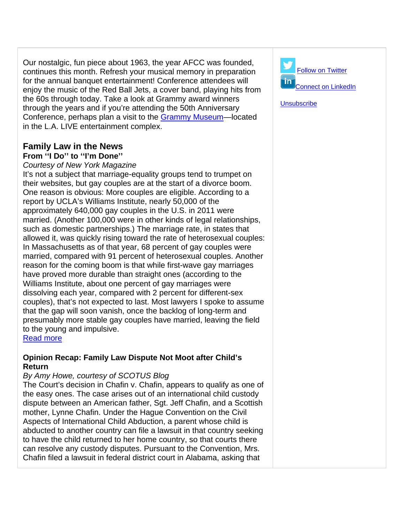Our nostalgic, fun piece about 1963, the year AFCC was founded, continues this month. Refresh your musical memory in preparation for the annual banquet entertainment! Conference attendees will enjoy the music of the Red Ball Jets, a cover band, playing hits from the 60s through today. Take a look at Grammy award winners through the years and if you're attending the 50th Anniversary Conference, perhaps plan a visit to the Grammy Museum—located in the L.A. LIVE entertainment complex.

# **Family Law in the News From ''I Do'' to ''I'm Done''**

# *Courtesy of New York Magazine*

It's not a subject that marriage-equality groups tend to trumpet on their websites, but gay couples are at the start of a divorce boom. One reason is obvious: More couples are eligible. According to a report by UCLA's Williams Institute, nearly 50,000 of the approximately 640,000 gay couples in the U.S. in 2011 were married. (Another 100,000 were in other kinds of legal relationships, such as domestic partnerships.) The marriage rate, in states that allowed it, was quickly rising toward the rate of heterosexual couples: In Massachusetts as of that year, 68 percent of gay couples were married, compared with 91 percent of heterosexual couples. Another reason for the coming boom is that while first-wave gay marriages have proved more durable than straight ones (according to the Williams Institute, about one percent of gay marriages were dissolving each year, compared with 2 percent for different-sex couples), that's not expected to last. Most lawyers I spoke to assume that the gap will soon vanish, once the backlog of long-term and presumably more stable gay couples have married, leaving the field to the young and impulsive.

# Read more

# **Opinion Recap: Family Law Dispute Not Moot after Child's Return**

# *By Amy Howe, courtesy of SCOTUS Blog*

The Court's decision in Chafin v. Chafin, appears to qualify as one of the easy ones. The case arises out of an international child custody dispute between an American father, Sgt. Jeff Chafin, and a Scottish mother, Lynne Chafin. Under the Hague Convention on the Civil Aspects of International Child Abduction, a parent whose child is abducted to another country can file a lawsuit in that country seeking to have the child returned to her home country, so that courts there can resolve any custody disputes. Pursuant to the Convention, Mrs. Chafin filed a lawsuit in federal district court in Alabama, asking that



**Unsubscribe**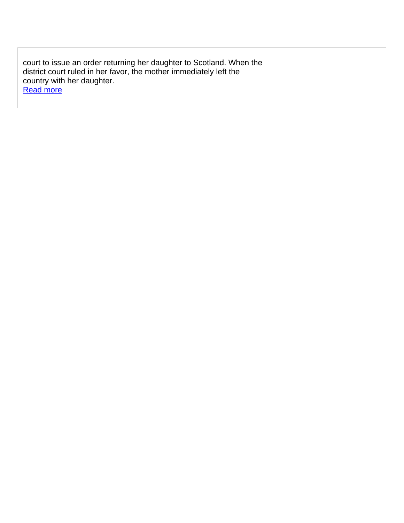| court to issue an order returning her daughter to Scotland. When the<br>district court ruled in her favor, the mother immediately left the<br>country with her daughter.<br><b>Read more</b> |  |
|----------------------------------------------------------------------------------------------------------------------------------------------------------------------------------------------|--|
|                                                                                                                                                                                              |  |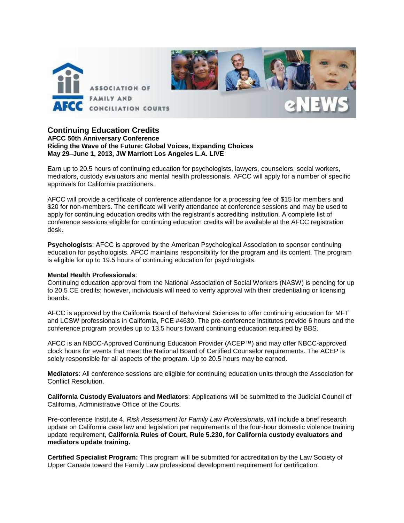

# **Continuing Education Credits**

**AFCC 50th Anniversary Conference Riding the Wave of the Future: Global Voices, Expanding Choices May 29–June 1, 2013, JW Marriott Los Angeles L.A. LIVE** 

Earn up to 20.5 hours of continuing education for psychologists, lawyers, counselors, social workers, mediators, custody evaluators and mental health professionals. AFCC will apply for a number of specific approvals for California practitioners.

AFCC will provide a certificate of conference attendance for a processing fee of \$15 for members and \$20 for non-members. The certificate will verify attendance at conference sessions and may be used to apply for continuing education credits with the registrant's accrediting institution. A complete list of conference sessions eligible for continuing education credits will be available at the AFCC registration desk.

**Psychologists**: AFCC is approved by the American Psychological Association to sponsor continuing education for psychologists. AFCC maintains responsibility for the program and its content. The program is eligible for up to 19.5 hours of continuing education for psychologists.

#### **Mental Health Professionals**:

Continuing education approval from the National Association of Social Workers (NASW) is pending for up to 20.5 CE credits; however, individuals will need to verify approval with their credentialing or licensing boards.

AFCC is approved by the California Board of Behavioral Sciences to offer continuing education for MFT and LCSW professionals in California, PCE #4630. The pre-conference institutes provide 6 hours and the conference program provides up to 13.5 hours toward continuing education required by BBS.

AFCC is an NBCC-Approved Continuing Education Provider (ACEP™) and may offer NBCC-approved clock hours for events that meet the National Board of Certified Counselor requirements. The ACEP is solely responsible for all aspects of the program. Up to 20.5 hours may be earned.

**Mediators**: All conference sessions are eligible for continuing education units through the Association for Conflict Resolution.

**California Custody Evaluators and Mediators**: Applications will be submitted to the Judicial Council of California, Administrative Office of the Courts.

Pre-conference Institute 4, *Risk Assessment for Family Law Professionals*, will include a brief research update on California case law and legislation per requirements of the four-hour domestic violence training update requirement, **California Rules of Court, Rule 5.230, for California custody evaluators and mediators update training.** 

**Certified Specialist Program:** This program will be submitted for accreditation by the Law Society of Upper Canada toward the Family Law professional development requirement for certification.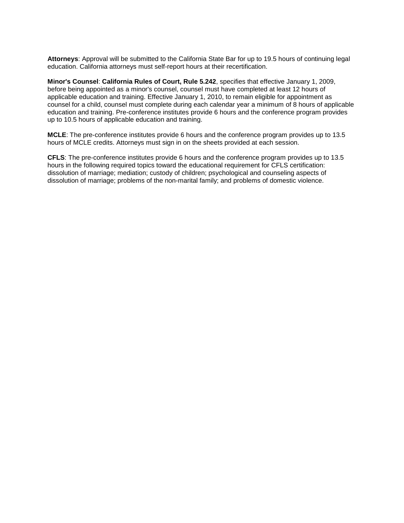**Attorneys**: Approval will be submitted to the California State Bar for up to 19.5 hours of continuing legal education. California attorneys must self-report hours at their recertification.

**Minor's Counsel**: **California Rules of Court, Rule 5.242**, specifies that effective January 1, 2009, before being appointed as a minor's counsel, counsel must have completed at least 12 hours of applicable education and training. Effective January 1, 2010, to remain eligible for appointment as counsel for a child, counsel must complete during each calendar year a minimum of 8 hours of applicable education and training. Pre-conference institutes provide 6 hours and the conference program provides up to 10.5 hours of applicable education and training.

**MCLE**: The pre-conference institutes provide 6 hours and the conference program provides up to 13.5 hours of MCLE credits. Attorneys must sign in on the sheets provided at each session.

**CFLS**: The pre-conference institutes provide 6 hours and the conference program provides up to 13.5 hours in the following required topics toward the educational requirement for CFLS certification: dissolution of marriage; mediation; custody of children; psychological and counseling aspects of dissolution of marriage; problems of the non-marital family; and problems of domestic violence.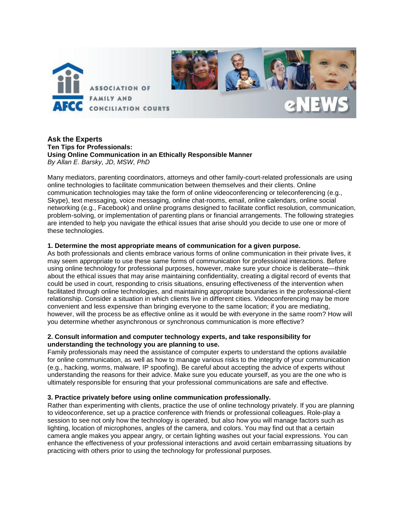

#### **Ask the Experts Ten Tips for Professionals: Using Online Communication in an Ethically Responsible Manner** *By Allan E. Barsky, JD, MSW, PhD*

Many mediators, parenting coordinators, attorneys and other family-court-related professionals are using online technologies to facilitate communication between themselves and their clients. Online communication technologies may take the form of online videoconferencing or teleconferencing (e.g., Skype), text messaging, voice messaging, online chat-rooms, email, online calendars, online social networking (e.g., Facebook) and online programs designed to facilitate conflict resolution, communication, problem-solving, or implementation of parenting plans or financial arrangements. The following strategies are intended to help you navigate the ethical issues that arise should you decide to use one or more of these technologies.

#### **1. Determine the most appropriate means of communication for a given purpose.**

As both professionals and clients embrace various forms of online communication in their private lives, it may seem appropriate to use these same forms of communication for professional interactions. Before using online technology for professional purposes, however, make sure your choice is deliberate—think about the ethical issues that may arise maintaining confidentiality, creating a digital record of events that could be used in court, responding to crisis situations, ensuring effectiveness of the intervention when facilitated through online technologies, and maintaining appropriate boundaries in the professional-client relationship. Consider a situation in which clients live in different cities. Videoconferencing may be more convenient and less expensive than bringing everyone to the same location; if you are mediating, however, will the process be as effective online as it would be with everyone in the same room? How will you determine whether asynchronous or synchronous communication is more effective?

#### **2. Consult information and computer technology experts, and take responsibility for understanding the technology you are planning to use.**

Family professionals may need the assistance of computer experts to understand the options available for online communication, as well as how to manage various risks to the integrity of your communication (e.g., hacking, worms, malware, IP spoofing). Be careful about accepting the advice of experts without understanding the reasons for their advice. Make sure you educate yourself, as you are the one who is ultimately responsible for ensuring that your professional communications are safe and effective.

#### **3. Practice privately before using online communication professionally.**

Rather than experimenting with clients, practice the use of online technology privately. If you are planning to videoconference, set up a practice conference with friends or professional colleagues. Role-play a session to see not only how the technology is operated, but also how you will manage factors such as lighting, location of microphones, angles of the camera, and colors. You may find out that a certain camera angle makes you appear angry, or certain lighting washes out your facial expressions. You can enhance the effectiveness of your professional interactions and avoid certain embarrassing situations by practicing with others prior to using the technology for professional purposes.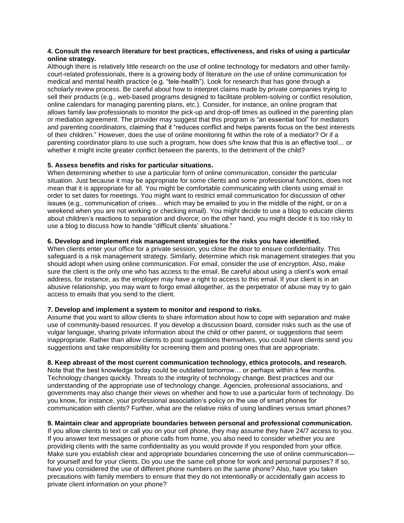#### **4. Consult the research literature for best practices, effectiveness, and risks of using a particular online strategy.**

Although there is relatively little research on the use of online technology for mediators and other familycourt-related professionals, there is a growing body of literature on the use of online communication for medical and mental health practice (e.g. "tele-health"). Look for research that has gone through a scholarly review process. Be careful about how to interpret claims made by private companies trying to sell their products (e.g., web-based programs designed to facilitate problem-solving or conflict resolution, online calendars for managing parenting plans, etc.). Consider, for instance, an online program that allows family law professionals to monitor the pick-up and drop-off times as outlined in the parenting plan or mediation agreement. The provider may suggest that this program is "an essential tool" for mediators and parenting coordinators, claiming that it "reduces conflict and helps parents focus on the best interests of their children." However, does the use of online monitoring fit within the role of a mediator? Or if a parenting coordinator plans to use such a program, how does s/he know that this is an effective tool… or whether it might incite greater conflict between the parents, to the detriment of the child?

#### **5. Assess benefits and risks for particular situations.**

When determining whether to use a particular form of online communication, consider the particular situation. Just because it may be appropriate for some clients and some professional functions, does not mean that it is appropriate for all. You might be comfortable communicating with clients using email in order to set dates for meetings. You might want to restrict email communication for discussion of other issues (e.g., communication of crises… which may be emailed to you in the middle of the night, or on a weekend when you are not working or checking email). You might decide to use a blog to educate clients about children's reactions to separation and divorce; on the other hand, you might decide it is too risky to use a blog to discuss how to handle "difficult clients' situations."

#### **6. Develop and implement risk management strategies for the risks you have identified.**

When clients enter your office for a private session, you close the door to ensure confidentiality. This safeguard is a risk management strategy. Similarly, determine which risk management strategies that you should adopt when using online communication. For email, consider the use of encryption. Also, make sure the client is the only one who has access to the email. Be careful about using a client's work email address, for instance, as the employer may have a right to access to this email. If your client is in an abusive relationship, you may want to forgo email altogether, as the perpetrator of abuse may try to gain access to emails that you send to the client.

#### **7. Develop and implement a system to monitor and respond to risks.**

Assume that you want to allow clients to share information about how to cope with separation and make use of community-based resources. If you develop a discussion board, consider risks such as the use of vulgar language, sharing private information about the child or other parent, or suggestions that seem inappropriate. Rather than allow clients to post suggestions themselves, you could have clients send you suggestions and take responsibility for screening them and posting ones that are appropriate.

#### **8. Keep abreast of the most current communication technology, ethics protocols, and research.**

Note that the best knowledge today could be outdated tomorrow… or perhaps within a few months. Technology changes quickly. Threats to the integrity of technology change. Best practices and our understanding of the appropriate use of technology change. Agencies, professional associations, and governments may also change their views on whether and how to use a particular form of technology. Do you know, for instance, your professional association's policy on the use of smart phones for communication with clients? Further, what are the relative risks of using landlines versus smart phones?

#### **9. Maintain clear and appropriate boundaries between personal and professional communication.**

If you allow clients to text or call you on your cell phone, they may assume they have 24/7 access to you. If you answer text messages or phone calls from home, you also need to consider whether you are providing clients with the same confidentiality as you would provide if you responded from your office. Make sure you establish clear and appropriate boundaries concerning the use of online communication for yourself and for your clients. Do you use the same cell phone for work and personal purposes? If so, have you considered the use of different phone numbers on the same phone? Also, have you taken precautions with family members to ensure that they do not intentionally or accidentally gain access to private client information on your phone?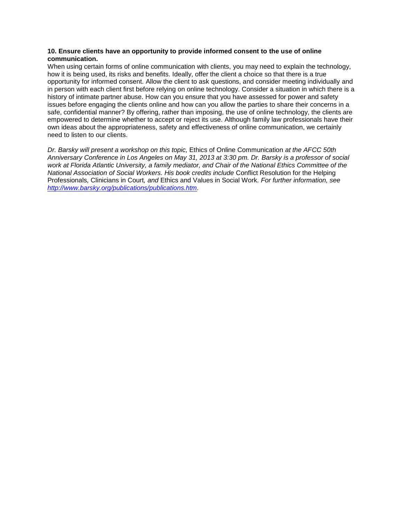#### **10. Ensure clients have an opportunity to provide informed consent to the use of online communication.**

When using certain forms of online communication with clients, you may need to explain the technology, how it is being used, its risks and benefits. Ideally, offer the client a choice so that there is a true opportunity for informed consent. Allow the client to ask questions, and consider meeting individually and in person with each client first before relying on online technology. Consider a situation in which there is a history of intimate partner abuse. How can you ensure that you have assessed for power and safety issues before engaging the clients online and how can you allow the parties to share their concerns in a safe, confidential manner? By offering, rather than imposing, the use of online technology, the clients are empowered to determine whether to accept or reject its use. Although family law professionals have their own ideas about the appropriateness, safety and effectiveness of online communication, we certainly need to listen to our clients.

*Dr. Barsky will present a workshop on this topic,* Ethics of Online Communication *at the AFCC 50th Anniversary Conference in Los Angeles on May 31, 2013 at 3:30 pm. Dr. Barsky is a professor of social work at Florida Atlantic University, a family mediator, and Chair of the National Ethics Committee of the National Association of Social Workers. His book credits include* Conflict Resolution for the Helping Professionals*,* Clinicians in Court*, and* Ethics and Values in Social Work*. For further information, see [http://www.barsky.org/publications/publications.htm.](http://www.barsky.org/publications/publications.htm)*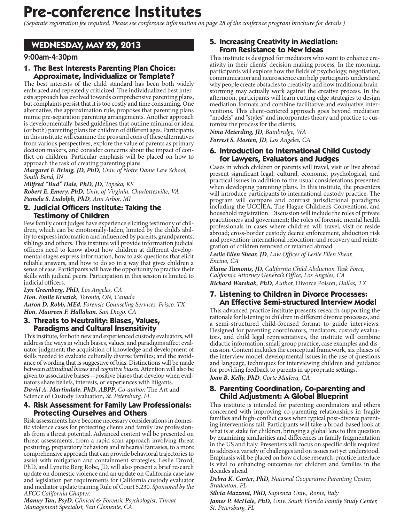# **Pre-conference Institutes**

(Separate registration fee required. Please see conference information on page 28 of the confernce program brochure for details.)

# WEDNESDAY, MAY 29, 2013

# 9:00am-4:30pm

# 1. The Best Interests Parenting Plan Choice: **Approximate, Individualize or Template?**

The best interests of the child standard has been both widely embraced and repeatedly criticized. The individualized best interests approach has evolved towards comprehensive parenting plans, but complaints persist that it is too costly and time consuming. One alternative, the approximation rule, proposes that parenting plans mimic pre-separation parenting arrangements. Another approach is developmentally-based guidelines that outline minimal or ideal (or both) parenting plans for children of different ages. Participants in this institute will examine the pros and cons of these alternatives from various perspectives, explore the value of parents as primary decision makers, and consider concerns about the impact of conflict on children. Particular emphasis will be placed on how to approach the task of creating parenting plans.

Margaret F. Brinig, JD, PhD, Univ. of Notre Dame Law School, South Bend, IN

Milfred "Bud" Dale, PhD, JD, Topeka, KS

Robert E. Emery, PhD, Univ. of Virginia, Charlottesville, VA Pamela S. Ludolph, PhD, Ann Arbor, MI

#### 2. Judicial Officers Institute: Taking the Testimony of Children

Few family court judges have experience eliciting testimony of children, which can be emotionally-laden, limited by the child's ability to express information and influenced by parents, grandparents, siblings and others. This institute will provide information judicial officers need to know about how children at different developmental stages express information, how to ask questions that elicit reliable answers, and how to do so in a way that gives children a sense of ease. Participants will have the opportunity to practice their skills with judicial peers. Participation in this session is limited to judicial officers.

Lyn Greenberg, PhD, Los Angeles, CA Hon. Emile Kruzick, Toronto, ON, Canada Aaron D. Robb, MEd, Forensic Counseling Services, Frisco, TX Hon. Maureen F. Hallahan, San Diego, CA

#### 3. Threats to Neutrality: Biases, Values, **Paradigms and Cultural Insensitivity**

This institute, for both new and experienced custody evaluators, will address the ways in which biases, values, and paradigms affect evaluator judgment; the acquisition of knowledge and development of skills needed to evaluate culturally diverse families; and the avoidance of wording that is suggestive of bias. Distinctions will be made between attitudinal biases and cognitive biases. Attention will also be given to associative biases—positive biases that develop when evaluators share beliefs, interests, or experiences with litigants. David A. Martindale, PhD, ABPP, Co-author, The Art and

Science of Custody Evaluation, St. Petersburg, FL

## 4. Risk Assessment for Family Law Professionals: **Protecting Ourselves and Others**

Risk assessments have become necessary considerations in domestic violence cases for protecting clients and family law professionals from a threat potential. Advanced content will be presented on threat assessments, from a rapid scan approach involving threat posturing, preparatory behaviors and rehearsal fantasies, to a more comprehensive approach that can provide behavioral trajectories to assist with mitigation and containment strategies. Leslie Drozd, PhD, and Lynette Berg Robe, JD, will also present a brief research update on domestic violence and an update on California case law and legislation per requirements for California custody evaluator and mediator update training Rule of Court 5.230. Sponsored by the AFCC California Chapter.

Manny Tau, PsyD, Clinical & Forensic Psychologist, Threat Management Specialist, San Clemente, CA

# 5. Increasing Creativity in Mediation: From Resistance to New Ideas

This institute is designed for mediators who want to enhance creativity in their clients' decision making process. In the morning, participants will explore how the fields of psychology, negotiation, communication and neuroscience can help participants understand why people create obstacles to creativity and how traditional brainstorming may actually work against the creative process. In the afternoon, participants will learn cutting edge strategies to design mediation formats and combine facilitative and evaluative interventions. This client-centered approach goes beyond mediation "models" and "styles" and incorporates theory and practice to customize the process for the clients.

Nina Meierding, JD, Bainbridge, WA

Forrest S. Mosten, JD, Los Angeles, CA

#### 6. Introduction to International Child Custody for Lawyers, Evaluators and Judges

Cases in which children or parents will travel, visit or live abroad present significant legal, cultural, economic, psychological, and<br>practical issues in addition to the usual considerations presented when developing parenting plans. In this institute, the presenters will introduce participants to international custody practice. The program will compare and contrast jurisdictional paradigms including the UCCJEA, The Hague Children's Conventions, and household registration. Discussion will include the roles of private practitioners and government; the roles of forensic mental health professionals in cases where children will travel, visit or reside abroad; cross-border custody decree enforcement, abduction risk and prevention; international relocation; and recovery and reintegration of children removed or retained abroad.

Leslie Ellen Shear, JD, Law Offices of Leslie Ellen Shear, Encino. CA

Elaine Tumonis, JD, California Child Abduction Task Force, California Attorney General's Office, Los Angeles, CA Richard Warshak, PhD, Author, Divorce Poison, Dallas, TX

# 7. Listening to Children in Divorce Processes: **An Effective Semi-structured Interview Model**

This advanced practice institute presents research supporting the rationale for listening to children in different divorce processes, and a semi-structured child-focused format to guide interviews. Designed for parenting coordinators, mediators, custody evaluators, and child legal representatives, the institute will combine didactic information, small group practice, case examples and discussion. Content includes the conceptual framework, six phases of the interview model, developmental issues in the use of questions and language, techniques for interviewing children and guidance for providing feedback to parents in appropriate settings.

Joan B. Kelly, PhD, Corte Madera, CA

## 8. Parenting Coordination, Co-parenting and **Child Adjustment: A Global Blueprint**

This institute is intended for parenting coordinators and others concerned with improving co-parenting relationships in fragile families and high-conflict cases when typical post-divorce parenting interventions fail. Participants will take a broad-based look at what is at stake for children, bringing a global lens to this question by examining similarities and differences in family fragmentation in the US and Italy. Presenters will focus on specific skills required to address a variety of challenges and on issues not yet understood. Emphasis will be placed on how a close research-practice interface is vital to enhancing outcomes for children and families in the decades ahead.

Debra K. Carter, PhD, National Cooperative Parenting Center, Bradenton, FL

Silvia Mazzoni, PhD, Sapienza Univ., Rome, Italy James P. McHale, PhD, Univ. South Florida Family Study Center, St. Petersburg, FL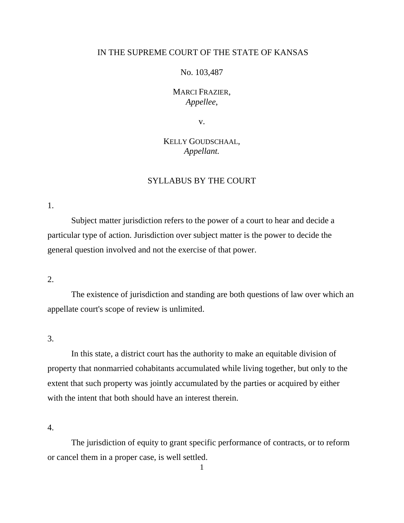# IN THE SUPREME COURT OF THE STATE OF KANSAS

# No. 103,487

# MARCI FRAZIER, *Appellee*,

v.

# KELLY GOUDSCHAAL, *Appellant.*

# SYLLABUS BY THE COURT

1.

Subject matter jurisdiction refers to the power of a court to hear and decide a particular type of action. Jurisdiction over subject matter is the power to decide the general question involved and not the exercise of that power.

2.

The existence of jurisdiction and standing are both questions of law over which an appellate court's scope of review is unlimited.

3.

In this state, a district court has the authority to make an equitable division of property that nonmarried cohabitants accumulated while living together, but only to the extent that such property was jointly accumulated by the parties or acquired by either with the intent that both should have an interest therein.

4.

The jurisdiction of equity to grant specific performance of contracts, or to reform or cancel them in a proper case, is well settled.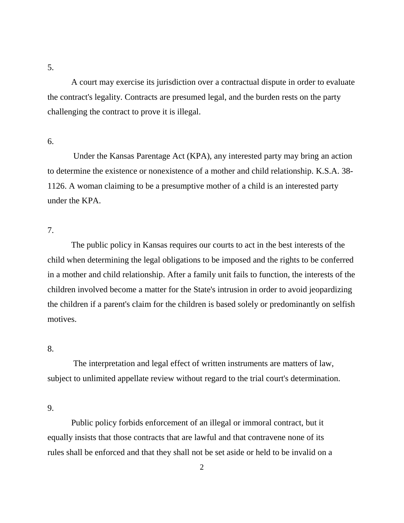5.

A court may exercise its jurisdiction over a contractual dispute in order to evaluate the contract's legality. Contracts are presumed legal, and the burden rests on the party challenging the contract to prove it is illegal.

## 6.

Under the Kansas Parentage Act (KPA), any interested party may bring an action to determine the existence or nonexistence of a mother and child relationship. K.S.A. 38- 1126. A woman claiming to be a presumptive mother of a child is an interested party under the KPA.

# 7.

The public policy in Kansas requires our courts to act in the best interests of the child when determining the legal obligations to be imposed and the rights to be conferred in a mother and child relationship. After a family unit fails to function, the interests of the children involved become a matter for the State's intrusion in order to avoid jeopardizing the children if a parent's claim for the children is based solely or predominantly on selfish motives.

# 8.

The interpretation and legal effect of written instruments are matters of law, subject to unlimited appellate review without regard to the trial court's determination.

9.

Public policy forbids enforcement of an illegal or immoral contract, but it equally insists that those contracts that are lawful and that contravene none of its rules shall be enforced and that they shall not be set aside or held to be invalid on a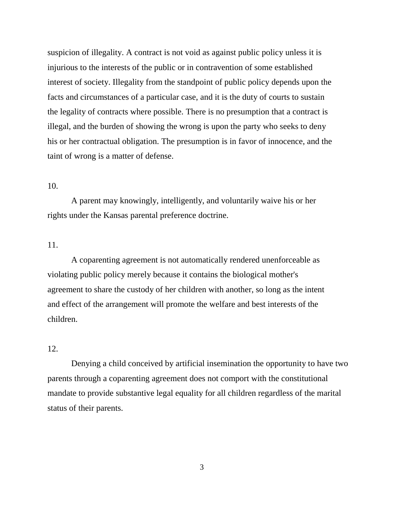suspicion of illegality. A contract is not void as against public policy unless it is injurious to the interests of the public or in contravention of some established interest of society. Illegality from the standpoint of public policy depends upon the facts and circumstances of a particular case, and it is the duty of courts to sustain the legality of contracts where possible. There is no presumption that a contract is illegal, and the burden of showing the wrong is upon the party who seeks to deny his or her contractual obligation. The presumption is in favor of innocence, and the taint of wrong is a matter of defense.

# 10.

A parent may knowingly, intelligently, and voluntarily waive his or her rights under the Kansas parental preference doctrine.

# 11.

A coparenting agreement is not automatically rendered unenforceable as violating public policy merely because it contains the biological mother's agreement to share the custody of her children with another, so long as the intent and effect of the arrangement will promote the welfare and best interests of the children.

# 12.

Denying a child conceived by artificial insemination the opportunity to have two parents through a coparenting agreement does not comport with the constitutional mandate to provide substantive legal equality for all children regardless of the marital status of their parents.

3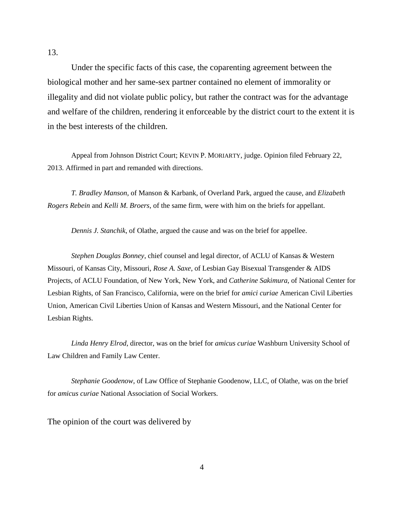Under the specific facts of this case, the coparenting agreement between the biological mother and her same-sex partner contained no element of immorality or illegality and did not violate public policy, but rather the contract was for the advantage and welfare of the children, rendering it enforceable by the district court to the extent it is in the best interests of the children.

Appeal from Johnson District Court; KEVIN P. MORIARTY, judge. Opinion filed February 22, 2013. Affirmed in part and remanded with directions.

*T. Bradley Manson*, of Manson & Karbank, of Overland Park, argued the cause, and *Elizabeth Rogers Rebein* and *Kelli M. Broers*, of the same firm, were with him on the briefs for appellant.

*Dennis J. Stanchik*, of Olathe, argued the cause and was on the brief for appellee.

*Stephen Douglas Bonney*, chief counsel and legal director, of ACLU of Kansas & Western Missouri, of Kansas City, Missouri, *Rose A. Saxe*, of Lesbian Gay Bisexual Transgender & AIDS Projects, of ACLU Foundation, of New York, New York, and *Catherine Sakimura*, of National Center for Lesbian Rights, of San Francisco, California, were on the brief for *amici curiae* American Civil Liberties Union, American Civil Liberties Union of Kansas and Western Missouri, and the National Center for Lesbian Rights.

*Linda Henry Elrod*, director, was on the brief for *amicus curiae* Washburn University School of Law Children and Family Law Center.

*Stephanie Goodenow*, of Law Office of Stephanie Goodenow, LLC, of Olathe, was on the brief for *amicus curiae* National Association of Social Workers.

The opinion of the court was delivered by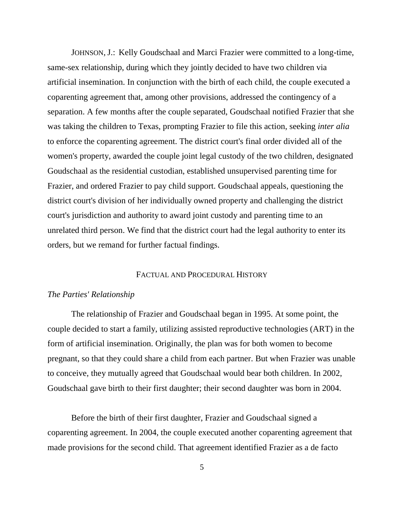JOHNSON, J.: Kelly Goudschaal and Marci Frazier were committed to a long-time, same-sex relationship, during which they jointly decided to have two children via artificial insemination. In conjunction with the birth of each child, the couple executed a coparenting agreement that, among other provisions, addressed the contingency of a separation. A few months after the couple separated, Goudschaal notified Frazier that she was taking the children to Texas, prompting Frazier to file this action, seeking *inter alia* to enforce the coparenting agreement. The district court's final order divided all of the women's property, awarded the couple joint legal custody of the two children, designated Goudschaal as the residential custodian, established unsupervised parenting time for Frazier, and ordered Frazier to pay child support. Goudschaal appeals, questioning the district court's division of her individually owned property and challenging the district court's jurisdiction and authority to award joint custody and parenting time to an unrelated third person. We find that the district court had the legal authority to enter its orders, but we remand for further factual findings.

## FACTUAL AND PROCEDURAL HISTORY

## *The Parties' Relationship*

The relationship of Frazier and Goudschaal began in 1995. At some point, the couple decided to start a family, utilizing assisted reproductive technologies (ART) in the form of artificial insemination. Originally, the plan was for both women to become pregnant, so that they could share a child from each partner. But when Frazier was unable to conceive, they mutually agreed that Goudschaal would bear both children. In 2002, Goudschaal gave birth to their first daughter; their second daughter was born in 2004.

Before the birth of their first daughter, Frazier and Goudschaal signed a coparenting agreement. In 2004, the couple executed another coparenting agreement that made provisions for the second child. That agreement identified Frazier as a de facto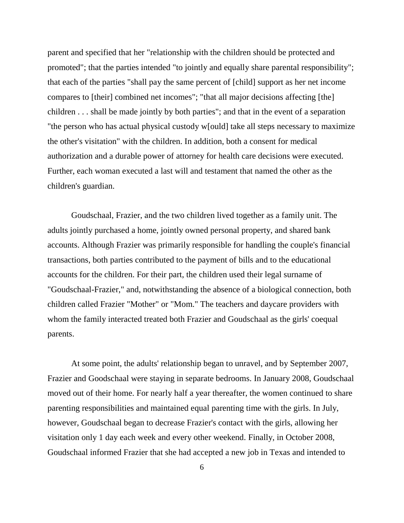parent and specified that her "relationship with the children should be protected and promoted"; that the parties intended "to jointly and equally share parental responsibility"; that each of the parties "shall pay the same percent of [child] support as her net income compares to [their] combined net incomes"; "that all major decisions affecting [the] children . . . shall be made jointly by both parties"; and that in the event of a separation "the person who has actual physical custody w[ould] take all steps necessary to maximize the other's visitation" with the children. In addition, both a consent for medical authorization and a durable power of attorney for health care decisions were executed. Further, each woman executed a last will and testament that named the other as the children's guardian.

Goudschaal, Frazier, and the two children lived together as a family unit. The adults jointly purchased a home, jointly owned personal property, and shared bank accounts. Although Frazier was primarily responsible for handling the couple's financial transactions, both parties contributed to the payment of bills and to the educational accounts for the children. For their part, the children used their legal surname of "Goudschaal-Frazier," and, notwithstanding the absence of a biological connection, both children called Frazier "Mother" or "Mom." The teachers and daycare providers with whom the family interacted treated both Frazier and Goudschaal as the girls' coequal parents.

At some point, the adults' relationship began to unravel, and by September 2007, Frazier and Goodschaal were staying in separate bedrooms. In January 2008, Goudschaal moved out of their home. For nearly half a year thereafter, the women continued to share parenting responsibilities and maintained equal parenting time with the girls. In July, however, Goudschaal began to decrease Frazier's contact with the girls, allowing her visitation only 1 day each week and every other weekend. Finally, in October 2008, Goudschaal informed Frazier that she had accepted a new job in Texas and intended to

6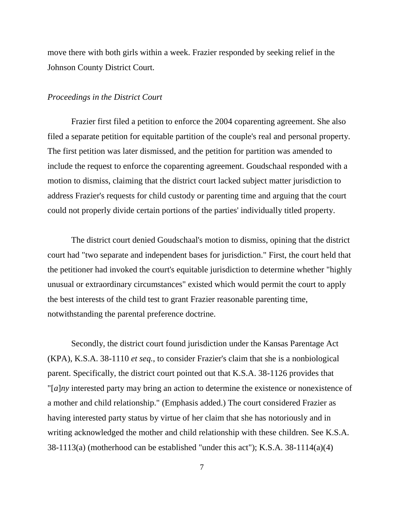move there with both girls within a week. Frazier responded by seeking relief in the Johnson County District Court.

#### *Proceedings in the District Court*

Frazier first filed a petition to enforce the 2004 coparenting agreement. She also filed a separate petition for equitable partition of the couple's real and personal property. The first petition was later dismissed, and the petition for partition was amended to include the request to enforce the coparenting agreement. Goudschaal responded with a motion to dismiss, claiming that the district court lacked subject matter jurisdiction to address Frazier's requests for child custody or parenting time and arguing that the court could not properly divide certain portions of the parties' individually titled property.

The district court denied Goudschaal's motion to dismiss, opining that the district court had "two separate and independent bases for jurisdiction." First, the court held that the petitioner had invoked the court's equitable jurisdiction to determine whether "highly unusual or extraordinary circumstances" existed which would permit the court to apply the best interests of the child test to grant Frazier reasonable parenting time, notwithstanding the parental preference doctrine.

Secondly, the district court found jurisdiction under the Kansas Parentage Act (KPA), K.S.A. 38-1110 *et seq.*, to consider Frazier's claim that she is a nonbiological parent. Specifically, the district court pointed out that K.S.A. 38-1126 provides that "[*a*]*ny* interested party may bring an action to determine the existence or nonexistence of a mother and child relationship." (Emphasis added.) The court considered Frazier as having interested party status by virtue of her claim that she has notoriously and in writing acknowledged the mother and child relationship with these children. See K.S.A. 38-1113(a) (motherhood can be established "under this act"); K.S.A. 38-1114(a)(4)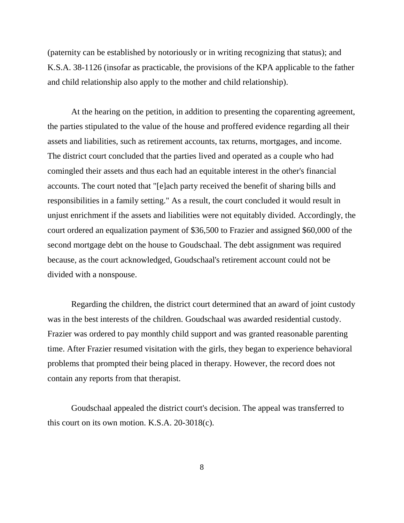(paternity can be established by notoriously or in writing recognizing that status); and K.S.A. 38-1126 (insofar as practicable, the provisions of the KPA applicable to the father and child relationship also apply to the mother and child relationship).

At the hearing on the petition, in addition to presenting the coparenting agreement, the parties stipulated to the value of the house and proffered evidence regarding all their assets and liabilities, such as retirement accounts, tax returns, mortgages, and income. The district court concluded that the parties lived and operated as a couple who had comingled their assets and thus each had an equitable interest in the other's financial accounts. The court noted that "[e]ach party received the benefit of sharing bills and responsibilities in a family setting." As a result, the court concluded it would result in unjust enrichment if the assets and liabilities were not equitably divided. Accordingly, the court ordered an equalization payment of \$36,500 to Frazier and assigned \$60,000 of the second mortgage debt on the house to Goudschaal. The debt assignment was required because, as the court acknowledged, Goudschaal's retirement account could not be divided with a nonspouse.

Regarding the children, the district court determined that an award of joint custody was in the best interests of the children. Goudschaal was awarded residential custody. Frazier was ordered to pay monthly child support and was granted reasonable parenting time. After Frazier resumed visitation with the girls, they began to experience behavioral problems that prompted their being placed in therapy. However, the record does not contain any reports from that therapist.

Goudschaal appealed the district court's decision. The appeal was transferred to this court on its own motion. K.S.A. 20-3018(c).

8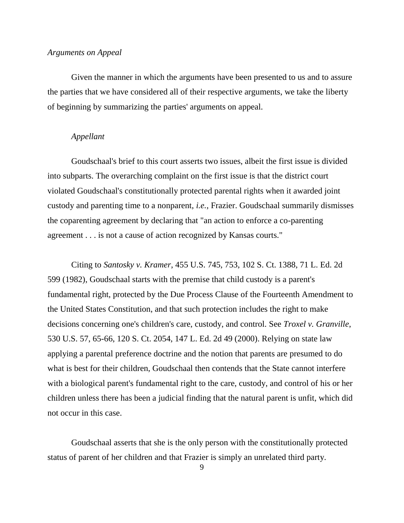## *Arguments on Appeal*

Given the manner in which the arguments have been presented to us and to assure the parties that we have considered all of their respective arguments, we take the liberty of beginning by summarizing the parties' arguments on appeal.

# *Appellant*

Goudschaal's brief to this court asserts two issues, albeit the first issue is divided into subparts. The overarching complaint on the first issue is that the district court violated Goudschaal's constitutionally protected parental rights when it awarded joint custody and parenting time to a nonparent, *i.e.*, Frazier. Goudschaal summarily dismisses the coparenting agreement by declaring that "an action to enforce a co-parenting agreement . . . is not a cause of action recognized by Kansas courts."

Citing to *Santosky v. Kramer*, 455 U.S. 745, 753, 102 S. Ct. 1388, 71 L. Ed. 2d 599 (1982), Goudschaal starts with the premise that child custody is a parent's fundamental right, protected by the Due Process Clause of the Fourteenth Amendment to the United States Constitution, and that such protection includes the right to make decisions concerning one's children's care, custody, and control. See *Troxel v. Granville*, 530 U.S. 57, 65-66, 120 S. Ct. 2054, 147 L. Ed. 2d 49 (2000). Relying on state law applying a parental preference doctrine and the notion that parents are presumed to do what is best for their children, Goudschaal then contends that the State cannot interfere with a biological parent's fundamental right to the care, custody, and control of his or her children unless there has been a judicial finding that the natural parent is unfit, which did not occur in this case.

Goudschaal asserts that she is the only person with the constitutionally protected status of parent of her children and that Frazier is simply an unrelated third party.

9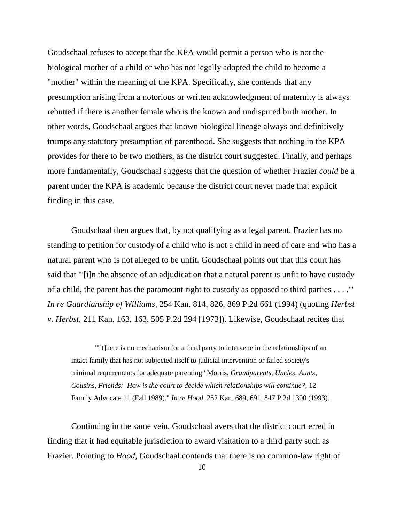Goudschaal refuses to accept that the KPA would permit a person who is not the biological mother of a child or who has not legally adopted the child to become a "mother" within the meaning of the KPA. Specifically, she contends that any presumption arising from a notorious or written acknowledgment of maternity is always rebutted if there is another female who is the known and undisputed birth mother. In other words, Goudschaal argues that known biological lineage always and definitively trumps any statutory presumption of parenthood. She suggests that nothing in the KPA provides for there to be two mothers, as the district court suggested. Finally, and perhaps more fundamentally, Goudschaal suggests that the question of whether Frazier *could* be a parent under the KPA is academic because the district court never made that explicit finding in this case.

Goudschaal then argues that, by not qualifying as a legal parent, Frazier has no standing to petition for custody of a child who is not a child in need of care and who has a natural parent who is not alleged to be unfit. Goudschaal points out that this court has said that "'[i]n the absence of an adjudication that a natural parent is unfit to have custody of a child, the parent has the paramount right to custody as opposed to third parties . . . .'" *In re Guardianship of Williams*, 254 Kan. 814, 826, 869 P.2d 661 (1994) (quoting *Herbst v. Herbst*, 211 Kan. 163, 163, 505 P.2d 294 [1973]). Likewise, Goudschaal recites that

"'[t]here is no mechanism for a third party to intervene in the relationships of an intact family that has not subjected itself to judicial intervention or failed society's minimal requirements for adequate parenting.' Morris, *Grandparents, Uncles, Aunts, Cousins, Friends: How is the court to decide which relationships will continue?*, 12 Family Advocate 11 (Fall 1989)." *In re Hood*, 252 Kan. 689, 691, 847 P.2d 1300 (1993).

Continuing in the same vein, Goudschaal avers that the district court erred in finding that it had equitable jurisdiction to award visitation to a third party such as Frazier. Pointing to *Hood*, Goudschaal contends that there is no common-law right of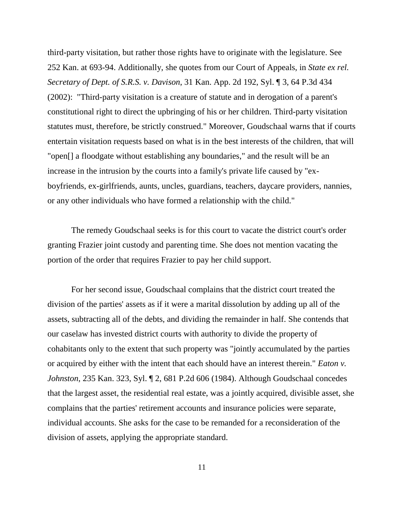third-party visitation, but rather those rights have to originate with the legislature. See 252 Kan. at 693-94. Additionally, she quotes from our Court of Appeals, in *State ex rel. Secretary of Dept. of S.R.S. v. Davison*, 31 Kan. App. 2d 192, Syl. ¶ 3, 64 P.3d 434 (2002): "Third-party visitation is a creature of statute and in derogation of a parent's constitutional right to direct the upbringing of his or her children. Third-party visitation statutes must, therefore, be strictly construed." Moreover, Goudschaal warns that if courts entertain visitation requests based on what is in the best interests of the children, that will "open[] a floodgate without establishing any boundaries," and the result will be an increase in the intrusion by the courts into a family's private life caused by "exboyfriends, ex-girlfriends, aunts, uncles, guardians, teachers, daycare providers, nannies, or any other individuals who have formed a relationship with the child."

The remedy Goudschaal seeks is for this court to vacate the district court's order granting Frazier joint custody and parenting time. She does not mention vacating the portion of the order that requires Frazier to pay her child support.

For her second issue, Goudschaal complains that the district court treated the division of the parties' assets as if it were a marital dissolution by adding up all of the assets, subtracting all of the debts, and dividing the remainder in half. She contends that our caselaw has invested district courts with authority to divide the property of cohabitants only to the extent that such property was "jointly accumulated by the parties or acquired by either with the intent that each should have an interest therein." *Eaton v. Johnston*, 235 Kan. 323, Syl. ¶ 2, 681 P.2d 606 (1984). Although Goudschaal concedes that the largest asset, the residential real estate, was a jointly acquired, divisible asset, she complains that the parties' retirement accounts and insurance policies were separate, individual accounts. She asks for the case to be remanded for a reconsideration of the division of assets, applying the appropriate standard.

11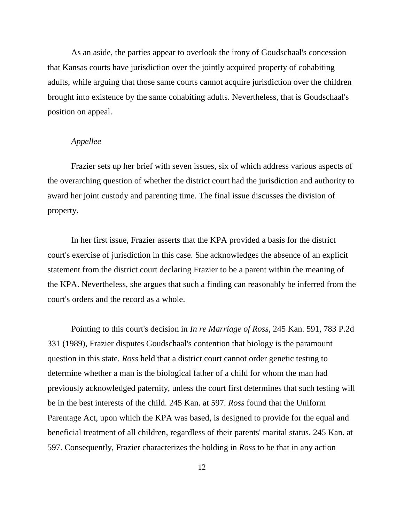As an aside, the parties appear to overlook the irony of Goudschaal's concession that Kansas courts have jurisdiction over the jointly acquired property of cohabiting adults, while arguing that those same courts cannot acquire jurisdiction over the children brought into existence by the same cohabiting adults. Nevertheless, that is Goudschaal's position on appeal.

# *Appellee*

Frazier sets up her brief with seven issues, six of which address various aspects of the overarching question of whether the district court had the jurisdiction and authority to award her joint custody and parenting time. The final issue discusses the division of property.

In her first issue, Frazier asserts that the KPA provided a basis for the district court's exercise of jurisdiction in this case. She acknowledges the absence of an explicit statement from the district court declaring Frazier to be a parent within the meaning of the KPA. Nevertheless, she argues that such a finding can reasonably be inferred from the court's orders and the record as a whole.

Pointing to this court's decision in *In re Marriage of Ross*, 245 Kan. 591, 783 P.2d 331 (1989), Frazier disputes Goudschaal's contention that biology is the paramount question in this state. *Ross* held that a district court cannot order genetic testing to determine whether a man is the biological father of a child for whom the man had previously acknowledged paternity, unless the court first determines that such testing will be in the best interests of the child. 245 Kan. at 597. *Ross* found that the Uniform Parentage Act, upon which the KPA was based, is designed to provide for the equal and beneficial treatment of all children, regardless of their parents' marital status. 245 Kan. at 597. Consequently, Frazier characterizes the holding in *Ross* to be that in any action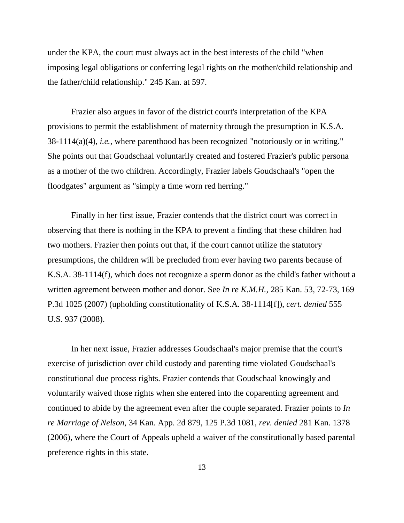under the KPA, the court must always act in the best interests of the child "when imposing legal obligations or conferring legal rights on the mother/child relationship and the father/child relationship." 245 Kan. at 597.

Frazier also argues in favor of the district court's interpretation of the KPA provisions to permit the establishment of maternity through the presumption in K.S.A. 38-1114(a)(4), *i.e.*, where parenthood has been recognized "notoriously or in writing." She points out that Goudschaal voluntarily created and fostered Frazier's public persona as a mother of the two children. Accordingly, Frazier labels Goudschaal's "open the floodgates" argument as "simply a time worn red herring."

Finally in her first issue, Frazier contends that the district court was correct in observing that there is nothing in the KPA to prevent a finding that these children had two mothers. Frazier then points out that, if the court cannot utilize the statutory presumptions, the children will be precluded from ever having two parents because of K.S.A. 38-1114(f), which does not recognize a sperm donor as the child's father without a written agreement between mother and donor. See *In re K.M.H.*, 285 Kan. 53, 72-73, 169 P.3d 1025 (2007) (upholding constitutionality of K.S.A. 38-1114[f]), *cert. denied* 555 U.S. 937 (2008).

In her next issue, Frazier addresses Goudschaal's major premise that the court's exercise of jurisdiction over child custody and parenting time violated Goudschaal's constitutional due process rights. Frazier contends that Goudschaal knowingly and voluntarily waived those rights when she entered into the coparenting agreement and continued to abide by the agreement even after the couple separated. Frazier points to *In re Marriage of Nelson*, 34 Kan. App. 2d 879, 125 P.3d 1081, *rev. denied* 281 Kan. 1378 (2006), where the Court of Appeals upheld a waiver of the constitutionally based parental preference rights in this state.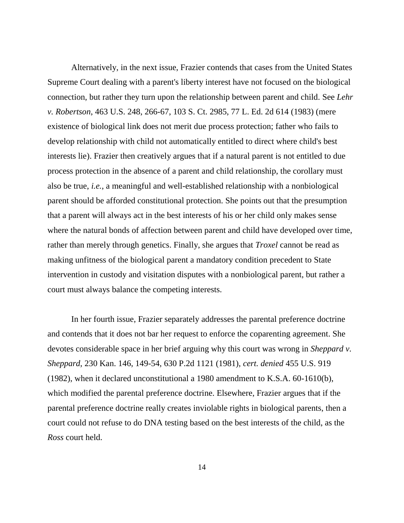Alternatively, in the next issue, Frazier contends that cases from the United States Supreme Court dealing with a parent's liberty interest have not focused on the biological connection, but rather they turn upon the relationship between parent and child. See *Lehr v. Robertson*, 463 U.S. 248, 266-67, 103 S. Ct. 2985, 77 L. Ed. 2d 614 (1983) (mere existence of biological link does not merit due process protection; father who fails to develop relationship with child not automatically entitled to direct where child's best interests lie). Frazier then creatively argues that if a natural parent is not entitled to due process protection in the absence of a parent and child relationship, the corollary must also be true, *i.e.*, a meaningful and well-established relationship with a nonbiological parent should be afforded constitutional protection. She points out that the presumption that a parent will always act in the best interests of his or her child only makes sense where the natural bonds of affection between parent and child have developed over time, rather than merely through genetics. Finally, she argues that *Troxel* cannot be read as making unfitness of the biological parent a mandatory condition precedent to State intervention in custody and visitation disputes with a nonbiological parent, but rather a court must always balance the competing interests.

In her fourth issue, Frazier separately addresses the parental preference doctrine and contends that it does not bar her request to enforce the coparenting agreement. She devotes considerable space in her brief arguing why this court was wrong in *Sheppard v. Sheppard*, 230 Kan. 146, 149-54, 630 P.2d 1121 (1981), *cert. denied* 455 U.S. 919 (1982), when it declared unconstitutional a 1980 amendment to K.S.A. 60-1610(b), which modified the parental preference doctrine. Elsewhere, Frazier argues that if the parental preference doctrine really creates inviolable rights in biological parents, then a court could not refuse to do DNA testing based on the best interests of the child, as the *Ross* court held.

14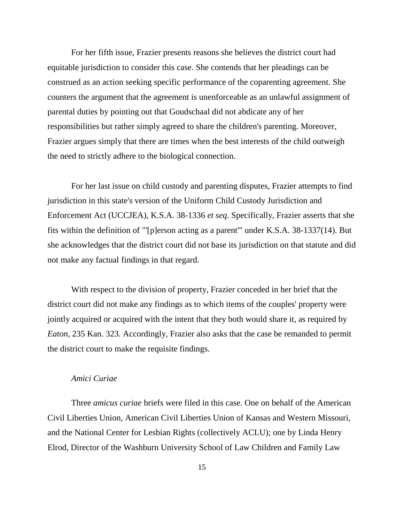For her fifth issue, Frazier presents reasons she believes the district court had equitable jurisdiction to consider this case. She contends that her pleadings can be construed as an action seeking specific performance of the coparenting agreement. She counters the argument that the agreement is unenforceable as an unlawful assignment of parental duties by pointing out that Goudschaal did not abdicate any of her responsibilities but rather simply agreed to share the children's parenting. Moreover, Frazier argues simply that there are times when the best interests of the child outweigh the need to strictly adhere to the biological connection.

For her last issue on child custody and parenting disputes, Frazier attempts to find jurisdiction in this state's version of the Uniform Child Custody Jurisdiction and Enforcement Act (UCCJEA), K.S.A. 38-1336 *et seq*. Specifically, Frazier asserts that she fits within the definition of "'[p]erson acting as a parent'" under K.S.A. 38-1337(14). But she acknowledges that the district court did not base its jurisdiction on that statute and did not make any factual findings in that regard.

With respect to the division of property, Frazier conceded in her brief that the district court did not make any findings as to which items of the couples' property were jointly acquired or acquired with the intent that they both would share it, as required by *Eaton*, 235 Kan. 323. Accordingly, Frazier also asks that the case be remanded to permit the district court to make the requisite findings.

# *Amici Curiae*

Three *amicus curiae* briefs were filed in this case. One on behalf of the American Civil Liberties Union, American Civil Liberties Union of Kansas and Western Missouri, and the National Center for Lesbian Rights (collectively ACLU); one by Linda Henry Elrod, Director of the Washburn University School of Law Children and Family Law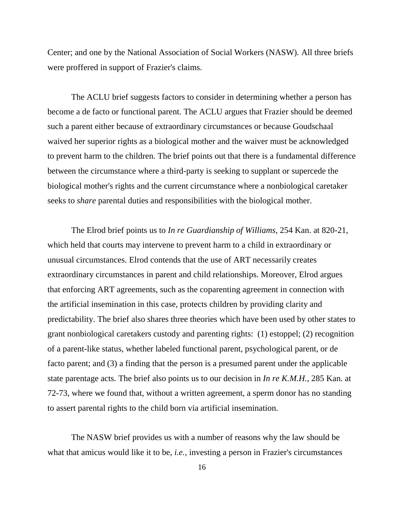Center; and one by the National Association of Social Workers (NASW). All three briefs were proffered in support of Frazier's claims.

The ACLU brief suggests factors to consider in determining whether a person has become a de facto or functional parent. The ACLU argues that Frazier should be deemed such a parent either because of extraordinary circumstances or because Goudschaal waived her superior rights as a biological mother and the waiver must be acknowledged to prevent harm to the children. The brief points out that there is a fundamental difference between the circumstance where a third-party is seeking to supplant or supercede the biological mother's rights and the current circumstance where a nonbiological caretaker seeks to *share* parental duties and responsibilities with the biological mother.

The Elrod brief points us to *In re Guardianship of Williams*, 254 Kan. at 820-21, which held that courts may intervene to prevent harm to a child in extraordinary or unusual circumstances. Elrod contends that the use of ART necessarily creates extraordinary circumstances in parent and child relationships. Moreover, Elrod argues that enforcing ART agreements, such as the coparenting agreement in connection with the artificial insemination in this case, protects children by providing clarity and predictability. The brief also shares three theories which have been used by other states to grant nonbiological caretakers custody and parenting rights: (1) estoppel; (2) recognition of a parent-like status, whether labeled functional parent, psychological parent, or de facto parent; and (3) a finding that the person is a presumed parent under the applicable state parentage acts. The brief also points us to our decision in *In re K.M.H.*, 285 Kan. at 72-73, where we found that, without a written agreement, a sperm donor has no standing to assert parental rights to the child born via artificial insemination.

The NASW brief provides us with a number of reasons why the law should be what that amicus would like it to be, *i.e.*, investing a person in Frazier's circumstances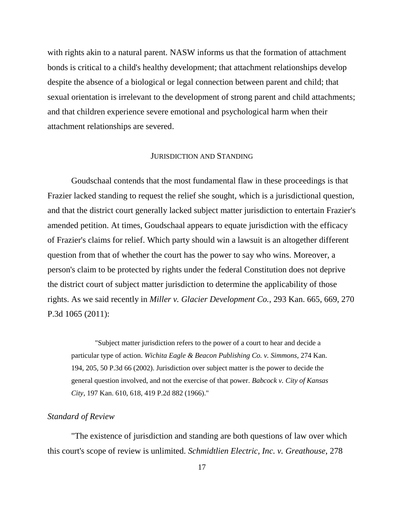with rights akin to a natural parent. NASW informs us that the formation of attachment bonds is critical to a child's healthy development; that attachment relationships develop despite the absence of a biological or legal connection between parent and child; that sexual orientation is irrelevant to the development of strong parent and child attachments; and that children experience severe emotional and psychological harm when their attachment relationships are severed.

# JURISDICTION AND STANDING

Goudschaal contends that the most fundamental flaw in these proceedings is that Frazier lacked standing to request the relief she sought, which is a jurisdictional question, and that the district court generally lacked subject matter jurisdiction to entertain Frazier's amended petition. At times, Goudschaal appears to equate jurisdiction with the efficacy of Frazier's claims for relief. Which party should win a lawsuit is an altogether different question from that of whether the court has the power to say who wins. Moreover, a person's claim to be protected by rights under the federal Constitution does not deprive the district court of subject matter jurisdiction to determine the applicability of those rights. As we said recently in *Miller v. Glacier Development Co.*, 293 Kan. 665, 669, 270 P.3d 1065 (2011):

"Subject matter jurisdiction refers to the power of a court to hear and decide a particular type of action. *Wichita Eagle & Beacon Publishing Co. v. Simmons*, 274 Kan. 194, 205, 50 P.3d 66 (2002). Jurisdiction over subject matter is the power to decide the general question involved, and not the exercise of that power. *Babcock v. City of Kansas City*, 197 Kan. 610, 618, 419 P.2d 882 (1966)."

## *Standard of Review*

"The existence of jurisdiction and standing are both questions of law over which this court's scope of review is unlimited. *Schmidtlien Electric, Inc. v. Greathouse*, 278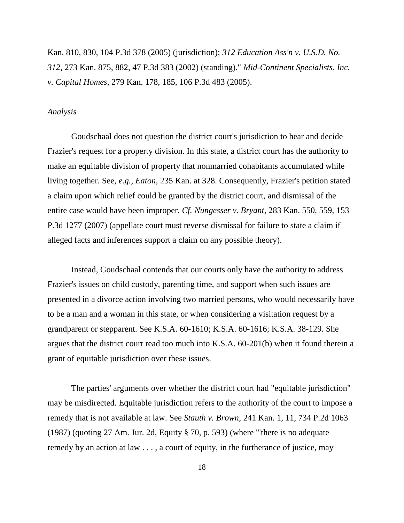Kan. 810, 830, 104 P.3d 378 (2005) (jurisdiction); *312 Education Ass'n v. U.S.D. No. 312*, 273 Kan. 875, 882, 47 P.3d 383 (2002) (standing)." *Mid-Continent Specialists, Inc. v. Capital Homes*, 279 Kan. 178, 185, 106 P.3d 483 (2005).

#### *Analysis*

Goudschaal does not question the district court's jurisdiction to hear and decide Frazier's request for a property division. In this state, a district court has the authority to make an equitable division of property that nonmarried cohabitants accumulated while living together. See, *e.g.*, *Eaton*, 235 Kan. at 328. Consequently, Frazier's petition stated a claim upon which relief could be granted by the district court, and dismissal of the entire case would have been improper. *Cf. Nungesser v. Bryant*, 283 Kan. 550, 559, 153 P.3d 1277 (2007) (appellate court must reverse dismissal for failure to state a claim if alleged facts and inferences support a claim on any possible theory).

Instead, Goudschaal contends that our courts only have the authority to address Frazier's issues on child custody, parenting time, and support when such issues are presented in a divorce action involving two married persons, who would necessarily have to be a man and a woman in this state, or when considering a visitation request by a grandparent or stepparent. See K.S.A. 60-1610; K.S.A. 60-1616; K.S.A. 38-129. She argues that the district court read too much into K.S.A. 60-201(b) when it found therein a grant of equitable jurisdiction over these issues.

The parties' arguments over whether the district court had "equitable jurisdiction" may be misdirected. Equitable jurisdiction refers to the authority of the court to impose a remedy that is not available at law. See *Stauth v. Brown*, 241 Kan. 1, 11, 734 P.2d 1063 (1987) (quoting 27 Am. Jur. 2d, Equity § 70, p. 593) (where "'there is no adequate remedy by an action at law . . . , a court of equity, in the furtherance of justice, may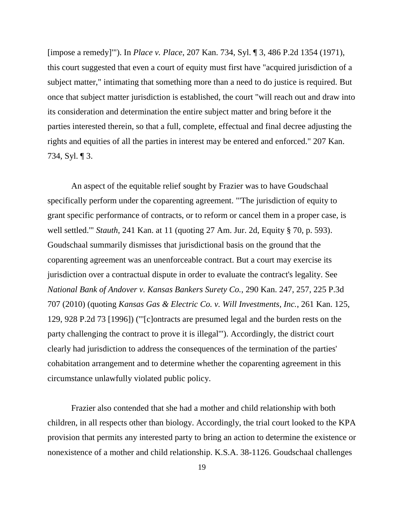[impose a remedy]'"). In *Place v. Place*, 207 Kan. 734, Syl. ¶ 3, 486 P.2d 1354 (1971), this court suggested that even a court of equity must first have "acquired jurisdiction of a subject matter," intimating that something more than a need to do justice is required. But once that subject matter jurisdiction is established, the court "will reach out and draw into its consideration and determination the entire subject matter and bring before it the parties interested therein, so that a full, complete, effectual and final decree adjusting the rights and equities of all the parties in interest may be entered and enforced." 207 Kan. 734, Syl. ¶ 3.

An aspect of the equitable relief sought by Frazier was to have Goudschaal specifically perform under the coparenting agreement. "'The jurisdiction of equity to grant specific performance of contracts, or to reform or cancel them in a proper case, is well settled.'" *Stauth*, 241 Kan. at 11 (quoting 27 Am. Jur. 2d, Equity § 70, p. 593). Goudschaal summarily dismisses that jurisdictional basis on the ground that the coparenting agreement was an unenforceable contract. But a court may exercise its jurisdiction over a contractual dispute in order to evaluate the contract's legality. See *National Bank of Andover v. Kansas Bankers Surety Co.*, 290 Kan. 247, 257, 225 P.3d 707 (2010) (quoting *Kansas Gas & Electric Co. v. Will Investments, Inc.*, 261 Kan. 125, 129, 928 P.2d 73 [1996]) ("'[c]ontracts are presumed legal and the burden rests on the party challenging the contract to prove it is illegal'"). Accordingly, the district court clearly had jurisdiction to address the consequences of the termination of the parties' cohabitation arrangement and to determine whether the coparenting agreement in this circumstance unlawfully violated public policy.

Frazier also contended that she had a mother and child relationship with both children, in all respects other than biology. Accordingly, the trial court looked to the KPA provision that permits any interested party to bring an action to determine the existence or nonexistence of a mother and child relationship. K.S.A. 38-1126. Goudschaal challenges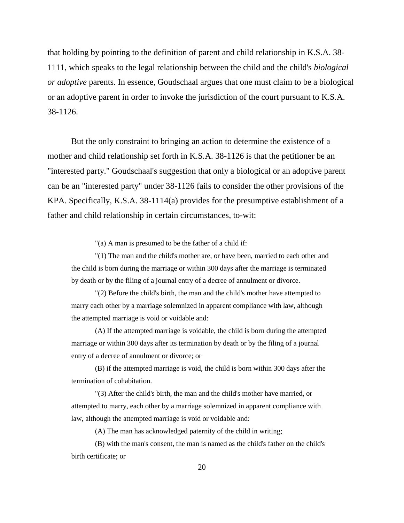that holding by pointing to the definition of parent and child relationship in K.S.A. 38- 1111, which speaks to the legal relationship between the child and the child's *biological or adoptive* parents. In essence, Goudschaal argues that one must claim to be a biological or an adoptive parent in order to invoke the jurisdiction of the court pursuant to K.S.A. 38-1126.

But the only constraint to bringing an action to determine the existence of a mother and child relationship set forth in K.S.A. 38-1126 is that the petitioner be an "interested party." Goudschaal's suggestion that only a biological or an adoptive parent can be an "interested party" under 38-1126 fails to consider the other provisions of the KPA. Specifically, K.S.A. 38-1114(a) provides for the presumptive establishment of a father and child relationship in certain circumstances, to-wit:

"(a) A man is presumed to be the father of a child if:

"(1) The man and the child's mother are, or have been, married to each other and the child is born during the marriage or within 300 days after the marriage is terminated by death or by the filing of a journal entry of a decree of annulment or divorce.

"(2) Before the child's birth, the man and the child's mother have attempted to marry each other by a marriage solemnized in apparent compliance with law, although the attempted marriage is void or voidable and:

(A) If the attempted marriage is voidable, the child is born during the attempted marriage or within 300 days after its termination by death or by the filing of a journal entry of a decree of annulment or divorce; or

(B) if the attempted marriage is void, the child is born within 300 days after the termination of cohabitation.

"(3) After the child's birth, the man and the child's mother have married, or attempted to marry, each other by a marriage solemnized in apparent compliance with law, although the attempted marriage is void or voidable and:

(A) The man has acknowledged paternity of the child in writing;

(B) with the man's consent, the man is named as the child's father on the child's birth certificate; or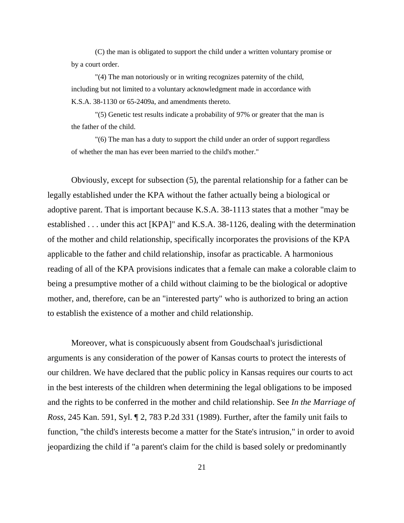(C) the man is obligated to support the child under a written voluntary promise or by a court order.

"(4) The man notoriously or in writing recognizes paternity of the child, including but not limited to a voluntary acknowledgment made in accordance with K.S.A. 38-1130 or 65-2409a, and amendments thereto.

"(5) Genetic test results indicate a probability of 97% or greater that the man is the father of the child.

"(6) The man has a duty to support the child under an order of support regardless of whether the man has ever been married to the child's mother."

Obviously, except for subsection (5), the parental relationship for a father can be legally established under the KPA without the father actually being a biological or adoptive parent. That is important because K.S.A. 38-1113 states that a mother "may be established . . . under this act [KPA]" and K.S.A. 38-1126, dealing with the determination of the mother and child relationship, specifically incorporates the provisions of the KPA applicable to the father and child relationship, insofar as practicable. A harmonious reading of all of the KPA provisions indicates that a female can make a colorable claim to being a presumptive mother of a child without claiming to be the biological or adoptive mother, and, therefore, can be an "interested party" who is authorized to bring an action to establish the existence of a mother and child relationship.

Moreover, what is conspicuously absent from Goudschaal's jurisdictional arguments is any consideration of the power of Kansas courts to protect the interests of our children. We have declared that the public policy in Kansas requires our courts to act in the best interests of the children when determining the legal obligations to be imposed and the rights to be conferred in the mother and child relationship. See *In the Marriage of Ross*, 245 Kan. 591, Syl. ¶ 2, 783 P.2d 331 (1989). Further, after the family unit fails to function, "the child's interests become a matter for the State's intrusion," in order to avoid jeopardizing the child if "a parent's claim for the child is based solely or predominantly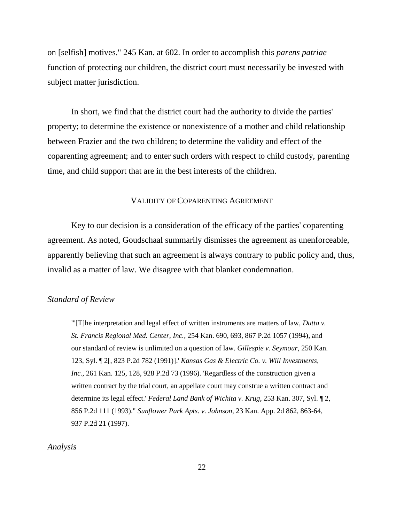on [selfish] motives." 245 Kan. at 602. In order to accomplish this *parens patriae* function of protecting our children, the district court must necessarily be invested with subject matter jurisdiction.

In short, we find that the district court had the authority to divide the parties' property; to determine the existence or nonexistence of a mother and child relationship between Frazier and the two children; to determine the validity and effect of the coparenting agreement; and to enter such orders with respect to child custody, parenting time, and child support that are in the best interests of the children.

#### VALIDITY OF COPARENTING AGREEMENT

Key to our decision is a consideration of the efficacy of the parties' coparenting agreement. As noted, Goudschaal summarily dismisses the agreement as unenforceable, apparently believing that such an agreement is always contrary to public policy and, thus, invalid as a matter of law. We disagree with that blanket condemnation.

# *Standard of Review*

"'[T]he interpretation and legal effect of written instruments are matters of law, *Dutta v. St. Francis Regional Med. Center, Inc.*, 254 Kan. 690, 693, 867 P.2d 1057 (1994), and our standard of review is unlimited on a question of law. *Gillespie v. Seymour*, 250 Kan. 123, Syl. ¶ 2[, 823 P.2d 782 (1991)].' *Kansas Gas & Electric Co. v. Will Investments, Inc.*, 261 Kan. 125, 128, 928 P.2d 73 (1996). 'Regardless of the construction given a written contract by the trial court, an appellate court may construe a written contract and determine its legal effect.' *Federal Land Bank of Wichita v. Krug*, 253 Kan. 307, Syl. ¶ 2, 856 P.2d 111 (1993)." *Sunflower Park Apts. v. Johnson*, 23 Kan. App. 2d 862, 863-64, 937 P.2d 21 (1997).

# *Analysis*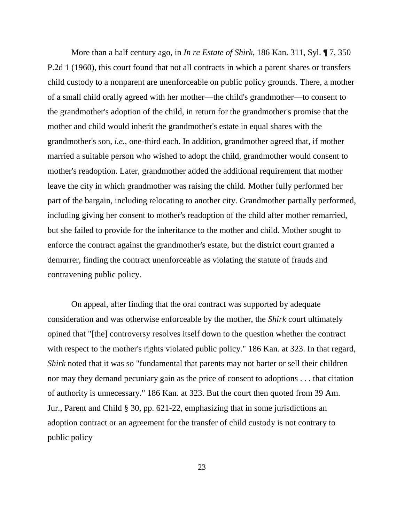More than a half century ago, in *In re Estate of Shirk*, 186 Kan. 311, Syl. ¶ 7, 350 P.2d 1 (1960), this court found that not all contracts in which a parent shares or transfers child custody to a nonparent are unenforceable on public policy grounds. There, a mother of a small child orally agreed with her mother—the child's grandmother—to consent to the grandmother's adoption of the child, in return for the grandmother's promise that the mother and child would inherit the grandmother's estate in equal shares with the grandmother's son, *i.e.*, one-third each. In addition, grandmother agreed that, if mother married a suitable person who wished to adopt the child, grandmother would consent to mother's readoption. Later, grandmother added the additional requirement that mother leave the city in which grandmother was raising the child. Mother fully performed her part of the bargain, including relocating to another city. Grandmother partially performed, including giving her consent to mother's readoption of the child after mother remarried, but she failed to provide for the inheritance to the mother and child. Mother sought to enforce the contract against the grandmother's estate, but the district court granted a demurrer, finding the contract unenforceable as violating the statute of frauds and contravening public policy.

On appeal, after finding that the oral contract was supported by adequate consideration and was otherwise enforceable by the mother, the *Shirk* court ultimately opined that "[the] controversy resolves itself down to the question whether the contract with respect to the mother's rights violated public policy." 186 Kan. at 323. In that regard, *Shirk* noted that it was so "fundamental that parents may not barter or sell their children nor may they demand pecuniary gain as the price of consent to adoptions . . . that citation of authority is unnecessary." 186 Kan. at 323. But the court then quoted from 39 Am. Jur., Parent and Child § 30, pp. 621-22, emphasizing that in some jurisdictions an adoption contract or an agreement for the transfer of child custody is not contrary to public policy

23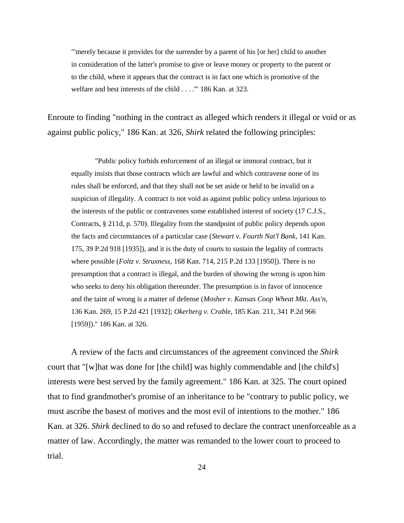"'merely because it provides for the surrender by a parent of his [or her] child to another in consideration of the latter's promise to give or leave money or property to the parent or to the child, where it appears that the contract is in fact one which is promotive of the welfare and best interests of the child . . . .'" 186 Kan. at 323.

Enroute to finding "nothing in the contract as alleged which renders it illegal or void or as against public policy," 186 Kan. at 326, *Shirk* related the following principles:

"Public policy forbids enforcement of an illegal or immoral contract, but it equally insists that those contracts which are lawful and which contravene none of its rules shall be enforced, and that they shall not be set aside or held to be invalid on a suspicion of illegality. A contract is not void as against public policy unless injurious to the interests of the public or contravenes some established interest of society (17 C.J.S., Contracts, § 211d, p. 570). Illegality from the standpoint of public policy depends upon the facts and circumstances of a particular case (*Stewart v. Fourth Nat'l Bank*, 141 Kan. 175, 39 P.2d 918 [1935]), and it is the duty of courts to sustain the legality of contracts where possible (*Foltz v. Struxness*, 168 Kan. 714, 215 P.2d 133 [1950]). There is no presumption that a contract is illegal, and the burden of showing the wrong is upon him who seeks to deny his obligation thereunder. The presumption is in favor of innocence and the taint of wrong is a matter of defense (*Mosher v. Kansas Coop Wheat Mkt. Ass'n*, 136 Kan. 269, 15 P.2d 421 [1932]; *Okerberg v. Crable*, 185 Kan. 211, 341 P.2d 966 [1959])." 186 Kan. at 326.

A review of the facts and circumstances of the agreement convinced the *Shirk* court that "[w]hat was done for [the child] was highly commendable and [the child's] interests were best served by the family agreement." 186 Kan. at 325. The court opined that to find grandmother's promise of an inheritance to be "contrary to public policy, we must ascribe the basest of motives and the most evil of intentions to the mother." 186 Kan. at 326. *Shirk* declined to do so and refused to declare the contract unenforceable as a matter of law. Accordingly, the matter was remanded to the lower court to proceed to trial.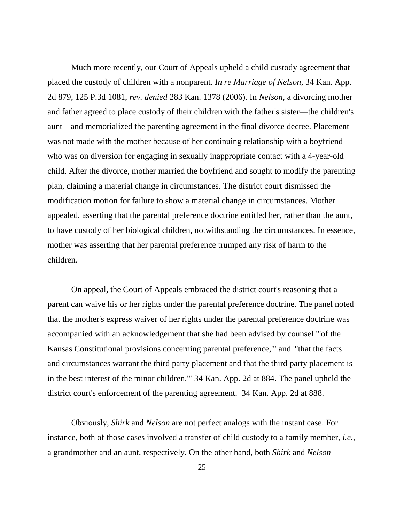Much more recently, our Court of Appeals upheld a child custody agreement that placed the custody of children with a nonparent. *In re Marriage of Nelson*, 34 Kan. App. 2d 879, 125 P.3d 1081, *rev. denied* 283 Kan. 1378 (2006). In *Nelson*, a divorcing mother and father agreed to place custody of their children with the father's sister—the children's aunt—and memorialized the parenting agreement in the final divorce decree. Placement was not made with the mother because of her continuing relationship with a boyfriend who was on diversion for engaging in sexually inappropriate contact with a 4-year-old child. After the divorce, mother married the boyfriend and sought to modify the parenting plan, claiming a material change in circumstances. The district court dismissed the modification motion for failure to show a material change in circumstances. Mother appealed, asserting that the parental preference doctrine entitled her, rather than the aunt, to have custody of her biological children, notwithstanding the circumstances. In essence, mother was asserting that her parental preference trumped any risk of harm to the children.

On appeal, the Court of Appeals embraced the district court's reasoning that a parent can waive his or her rights under the parental preference doctrine. The panel noted that the mother's express waiver of her rights under the parental preference doctrine was accompanied with an acknowledgement that she had been advised by counsel "'of the Kansas Constitutional provisions concerning parental preference,'" and "'that the facts and circumstances warrant the third party placement and that the third party placement is in the best interest of the minor children.'" 34 Kan. App. 2d at 884. The panel upheld the district court's enforcement of the parenting agreement. 34 Kan. App. 2d at 888.

Obviously, *Shirk* and *Nelson* are not perfect analogs with the instant case. For instance, both of those cases involved a transfer of child custody to a family member, *i.e.*, a grandmother and an aunt, respectively. On the other hand, both *Shirk* and *Nelson*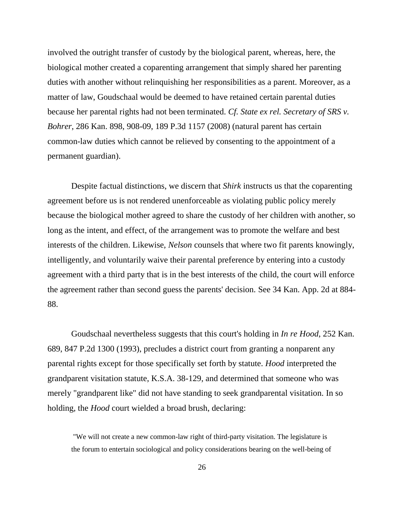involved the outright transfer of custody by the biological parent, whereas, here, the biological mother created a coparenting arrangement that simply shared her parenting duties with another without relinquishing her responsibilities as a parent. Moreover, as a matter of law, Goudschaal would be deemed to have retained certain parental duties because her parental rights had not been terminated. *Cf. State ex rel. Secretary of SRS v. Bohrer*, 286 Kan. 898, 908-09, 189 P.3d 1157 (2008) (natural parent has certain common-law duties which cannot be relieved by consenting to the appointment of a permanent guardian).

Despite factual distinctions, we discern that *Shirk* instructs us that the coparenting agreement before us is not rendered unenforceable as violating public policy merely because the biological mother agreed to share the custody of her children with another, so long as the intent, and effect, of the arrangement was to promote the welfare and best interests of the children. Likewise, *Nelson* counsels that where two fit parents knowingly, intelligently, and voluntarily waive their parental preference by entering into a custody agreement with a third party that is in the best interests of the child, the court will enforce the agreement rather than second guess the parents' decision. See 34 Kan. App. 2d at 884- 88.

Goudschaal nevertheless suggests that this court's holding in *In re Hood*, 252 Kan. 689, 847 P.2d 1300 (1993), precludes a district court from granting a nonparent any parental rights except for those specifically set forth by statute. *Hood* interpreted the grandparent visitation statute, K.S.A. 38-129, and determined that someone who was merely "grandparent like" did not have standing to seek grandparental visitation. In so holding, the *Hood* court wielded a broad brush, declaring:

"We will not create a new common-law right of third-party visitation. The legislature is the forum to entertain sociological and policy considerations bearing on the well-being of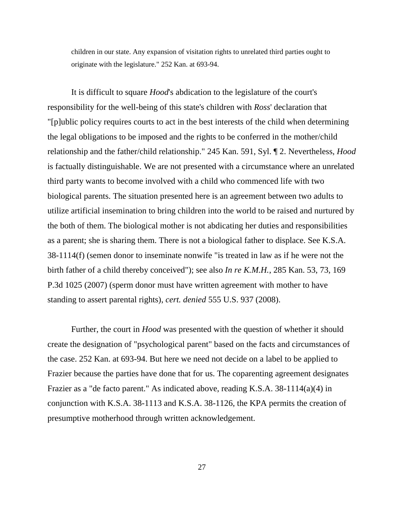children in our state. Any expansion of visitation rights to unrelated third parties ought to originate with the legislature." 252 Kan. at 693-94.

It is difficult to square *Hood*'s abdication to the legislature of the court's responsibility for the well-being of this state's children with *Ross*' declaration that "[p]ublic policy requires courts to act in the best interests of the child when determining the legal obligations to be imposed and the rights to be conferred in the mother/child relationship and the father/child relationship." 245 Kan. 591, Syl. ¶ 2. Nevertheless, *Hood*  is factually distinguishable. We are not presented with a circumstance where an unrelated third party wants to become involved with a child who commenced life with two biological parents. The situation presented here is an agreement between two adults to utilize artificial insemination to bring children into the world to be raised and nurtured by the both of them. The biological mother is not abdicating her duties and responsibilities as a parent; she is sharing them. There is not a biological father to displace. See K.S.A. 38-1114(f) (semen donor to inseminate nonwife "is treated in law as if he were not the birth father of a child thereby conceived"); see also *In re K.M.H.*, 285 Kan. 53, 73, 169 P.3d 1025 (2007) (sperm donor must have written agreement with mother to have standing to assert parental rights), *cert. denied* 555 U.S. 937 (2008).

Further, the court in *Hood* was presented with the question of whether it should create the designation of "psychological parent" based on the facts and circumstances of the case. 252 Kan. at 693-94. But here we need not decide on a label to be applied to Frazier because the parties have done that for us. The coparenting agreement designates Frazier as a "de facto parent." As indicated above, reading K.S.A. 38-1114(a)(4) in conjunction with K.S.A. 38-1113 and K.S.A. 38-1126, the KPA permits the creation of presumptive motherhood through written acknowledgement.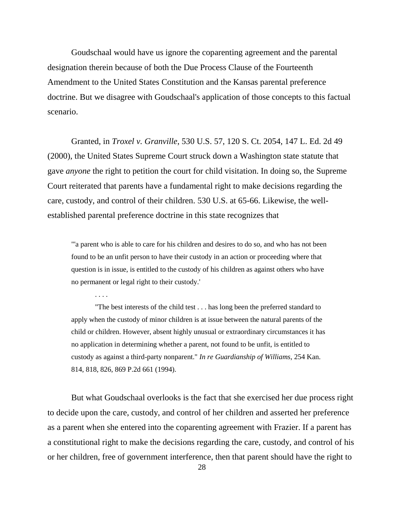Goudschaal would have us ignore the coparenting agreement and the parental designation therein because of both the Due Process Clause of the Fourteenth Amendment to the United States Constitution and the Kansas parental preference doctrine. But we disagree with Goudschaal's application of those concepts to this factual scenario.

Granted, in *Troxel v. Granville*, 530 U.S. 57, 120 S. Ct. 2054, 147 L. Ed. 2d 49 (2000), the United States Supreme Court struck down a Washington state statute that gave *anyone* the right to petition the court for child visitation. In doing so, the Supreme Court reiterated that parents have a fundamental right to make decisions regarding the care, custody, and control of their children. 530 U.S. at 65-66. Likewise, the wellestablished parental preference doctrine in this state recognizes that

"'a parent who is able to care for his children and desires to do so, and who has not been found to be an unfit person to have their custody in an action or proceeding where that question is in issue, is entitled to the custody of his children as against others who have no permanent or legal right to their custody.'

. . . .

"The best interests of the child test . . . has long been the preferred standard to apply when the custody of minor children is at issue between the natural parents of the child or children. However, absent highly unusual or extraordinary circumstances it has no application in determining whether a parent, not found to be unfit, is entitled to custody as against a third-party nonparent." *In re Guardianship of Williams*, 254 Kan. 814, 818, 826, 869 P.2d 661 (1994).

But what Goudschaal overlooks is the fact that she exercised her due process right to decide upon the care, custody, and control of her children and asserted her preference as a parent when she entered into the coparenting agreement with Frazier. If a parent has a constitutional right to make the decisions regarding the care, custody, and control of his or her children, free of government interference, then that parent should have the right to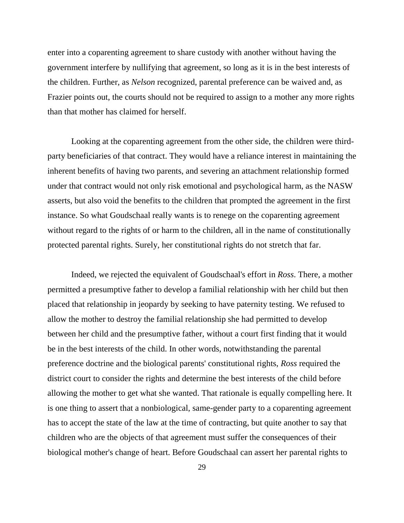enter into a coparenting agreement to share custody with another without having the government interfere by nullifying that agreement, so long as it is in the best interests of the children. Further, as *Nelson* recognized, parental preference can be waived and, as Frazier points out, the courts should not be required to assign to a mother any more rights than that mother has claimed for herself.

Looking at the coparenting agreement from the other side, the children were thirdparty beneficiaries of that contract. They would have a reliance interest in maintaining the inherent benefits of having two parents, and severing an attachment relationship formed under that contract would not only risk emotional and psychological harm, as the NASW asserts, but also void the benefits to the children that prompted the agreement in the first instance. So what Goudschaal really wants is to renege on the coparenting agreement without regard to the rights of or harm to the children, all in the name of constitutionally protected parental rights. Surely, her constitutional rights do not stretch that far.

Indeed, we rejected the equivalent of Goudschaal's effort in *Ross*. There, a mother permitted a presumptive father to develop a familial relationship with her child but then placed that relationship in jeopardy by seeking to have paternity testing. We refused to allow the mother to destroy the familial relationship she had permitted to develop between her child and the presumptive father, without a court first finding that it would be in the best interests of the child. In other words, notwithstanding the parental preference doctrine and the biological parents' constitutional rights, *Ross* required the district court to consider the rights and determine the best interests of the child before allowing the mother to get what she wanted. That rationale is equally compelling here. It is one thing to assert that a nonbiological, same-gender party to a coparenting agreement has to accept the state of the law at the time of contracting, but quite another to say that children who are the objects of that agreement must suffer the consequences of their biological mother's change of heart. Before Goudschaal can assert her parental rights to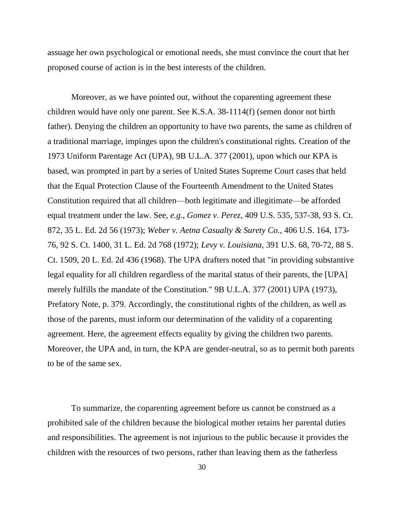assuage her own psychological or emotional needs, she must convince the court that her proposed course of action is in the best interests of the children.

Moreover, as we have pointed out, without the coparenting agreement these children would have only one parent. See K.S.A. 38-1114(f) (semen donor not birth father). Denying the children an opportunity to have two parents, the same as children of a traditional marriage, impinges upon the children's constitutional rights. Creation of the 1973 Uniform Parentage Act (UPA), 9B U.L.A. 377 (2001), upon which our KPA is based, was prompted in part by a series of United States Supreme Court cases that held that the Equal Protection Clause of the Fourteenth Amendment to the United States Constitution required that all children—both legitimate and illegitimate—be afforded equal treatment under the law. See, *e.g.*, *Gomez v. Perez*, 409 U.S. 535, 537-38, 93 S. Ct. 872, 35 L. Ed. 2d 56 (1973); *Weber v. Aetna Casualty & Surety Co.*, 406 U.S. 164, 173- 76, 92 S. Ct. 1400, 31 L. Ed. 2d 768 (1972); *Levy v. Louisiana*, 391 U.S. 68, 70-72, 88 S. Ct. 1509, 20 L. Ed. 2d 436 (1968). The UPA drafters noted that "in providing substantive legal equality for all children regardless of the marital status of their parents, the [UPA] merely fulfills the mandate of the Constitution." 9B U.L.A. 377 (2001) UPA (1973), Prefatory Note, p. 379. Accordingly, the constitutional rights of the children, as well as those of the parents, must inform our determination of the validity of a coparenting agreement. Here, the agreement effects equality by giving the children two parents. Moreover, the UPA and, in turn, the KPA are gender-neutral, so as to permit both parents to be of the same sex.

To summarize, the coparenting agreement before us cannot be construed as a prohibited sale of the children because the biological mother retains her parental duties and responsibilities. The agreement is not injurious to the public because it provides the children with the resources of two persons, rather than leaving them as the fatherless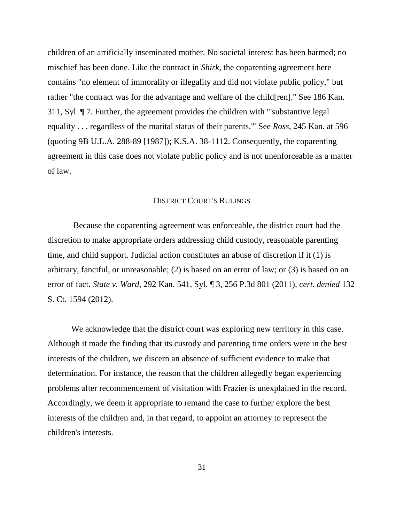children of an artificially inseminated mother. No societal interest has been harmed; no mischief has been done. Like the contract in *Shirk*, the coparenting agreement here contains "no element of immorality or illegality and did not violate public policy," but rather "the contract was for the advantage and welfare of the child[ren]." See 186 Kan. 311, Syl. ¶ 7. Further, the agreement provides the children with "'substantive legal equality . . . regardless of the marital status of their parents.'" See *Ross*, 245 Kan. at 596 (quoting 9B U.L.A. 288-89 [1987]); K.S.A. 38-1112. Consequently, the coparenting agreement in this case does not violate public policy and is not unenforceable as a matter of law.

# DISTRICT COURT'S RULINGS

Because the coparenting agreement was enforceable, the district court had the discretion to make appropriate orders addressing child custody, reasonable parenting time, and child support. Judicial action constitutes an abuse of discretion if it (1) is arbitrary, fanciful, or unreasonable; (2) is based on an error of law; or (3) is based on an error of fact. *State v. Ward*, 292 Kan. 541, Syl. ¶ 3, 256 P.3d 801 (2011), *cert. denied* 132 S. Ct. 1594 (2012).

We acknowledge that the district court was exploring new territory in this case. Although it made the finding that its custody and parenting time orders were in the best interests of the children, we discern an absence of sufficient evidence to make that determination. For instance, the reason that the children allegedly began experiencing problems after recommencement of visitation with Frazier is unexplained in the record. Accordingly, we deem it appropriate to remand the case to further explore the best interests of the children and, in that regard, to appoint an attorney to represent the children's interests.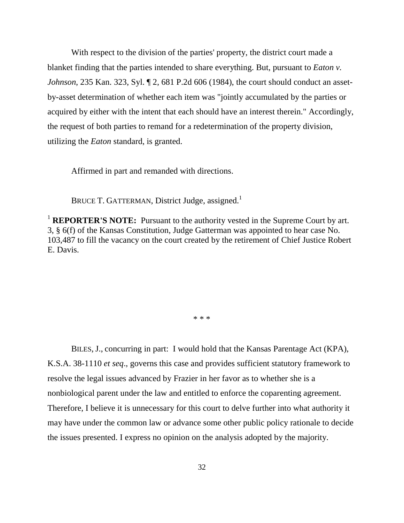With respect to the division of the parties' property, the district court made a blanket finding that the parties intended to share everything. But, pursuant to *Eaton v. Johnson*, 235 Kan. 323, Syl. ¶ 2, 681 P.2d 606 (1984), the court should conduct an assetby-asset determination of whether each item was "jointly accumulated by the parties or acquired by either with the intent that each should have an interest therein." Accordingly, the request of both parties to remand for a redetermination of the property division, utilizing the *Eaton* standard, is granted.

Affirmed in part and remanded with directions.

BRUCE T. GATTERMAN, District Judge, assigned.<sup>1</sup>

<sup>1</sup> **REPORTER'S NOTE:** Pursuant to the authority vested in the Supreme Court by art. 3, § 6(f) of the Kansas Constitution, Judge Gatterman was appointed to hear case No. 103,487 to fill the vacancy on the court created by the retirement of Chief Justice Robert E. Davis.

\* \* \*

BILES, J., concurring in part: I would hold that the Kansas Parentage Act (KPA), K.S.A. 38-1110 *et seq*., governs this case and provides sufficient statutory framework to resolve the legal issues advanced by Frazier in her favor as to whether she is a nonbiological parent under the law and entitled to enforce the coparenting agreement. Therefore, I believe it is unnecessary for this court to delve further into what authority it may have under the common law or advance some other public policy rationale to decide the issues presented. I express no opinion on the analysis adopted by the majority.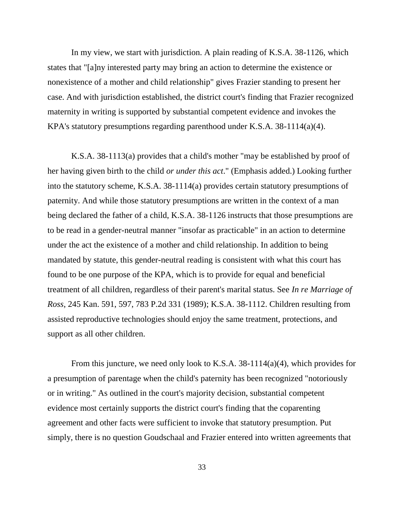In my view, we start with jurisdiction. A plain reading of K.S.A. 38-1126, which states that "[a]ny interested party may bring an action to determine the existence or nonexistence of a mother and child relationship" gives Frazier standing to present her case. And with jurisdiction established, the district court's finding that Frazier recognized maternity in writing is supported by substantial competent evidence and invokes the KPA's statutory presumptions regarding parenthood under K.S.A. 38-1114(a)(4).

K.S.A. 38-1113(a) provides that a child's mother "may be established by proof of her having given birth to the child *or under this act*." (Emphasis added.) Looking further into the statutory scheme, K.S.A. 38-1114(a) provides certain statutory presumptions of paternity. And while those statutory presumptions are written in the context of a man being declared the father of a child, K.S.A. 38-1126 instructs that those presumptions are to be read in a gender-neutral manner "insofar as practicable" in an action to determine under the act the existence of a mother and child relationship. In addition to being mandated by statute, this gender-neutral reading is consistent with what this court has found to be one purpose of the KPA, which is to provide for equal and beneficial treatment of all children, regardless of their parent's marital status. See *In re Marriage of Ross*, 245 Kan. 591, 597, 783 P.2d 331 (1989); K.S.A. 38-1112. Children resulting from assisted reproductive technologies should enjoy the same treatment, protections, and support as all other children.

From this juncture, we need only look to K.S.A. 38-1114(a)(4), which provides for a presumption of parentage when the child's paternity has been recognized "notoriously or in writing." As outlined in the court's majority decision, substantial competent evidence most certainly supports the district court's finding that the coparenting agreement and other facts were sufficient to invoke that statutory presumption. Put simply, there is no question Goudschaal and Frazier entered into written agreements that